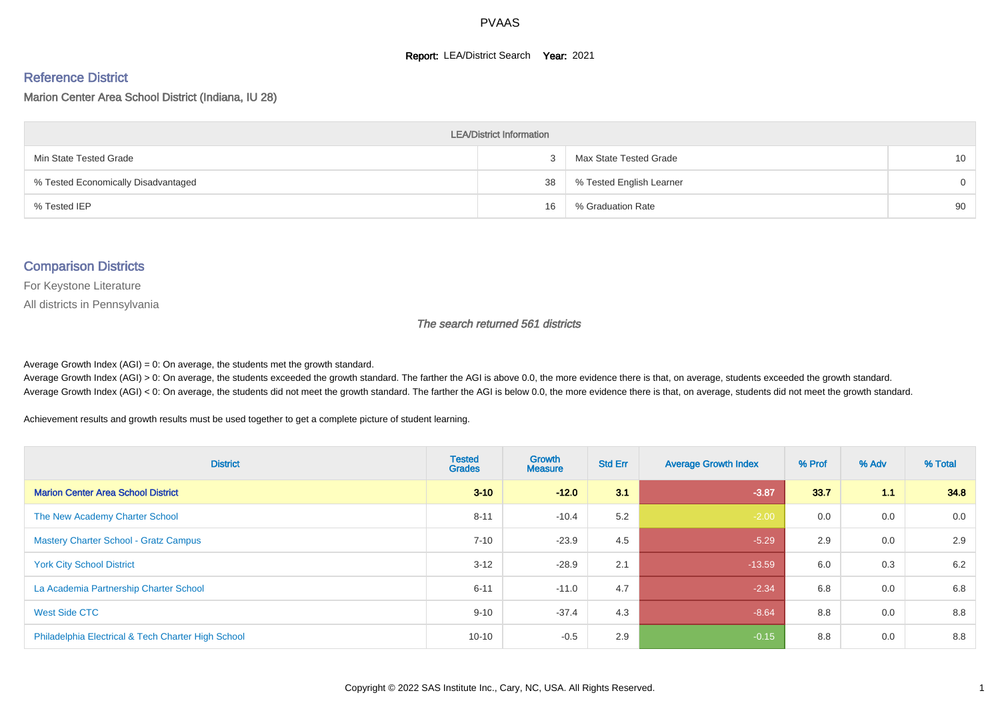#### **Report: LEA/District Search Year: 2021**

#### Reference District

Marion Center Area School District (Indiana, IU 28)

| <b>LEA/District Information</b>     |    |                          |          |  |  |  |  |  |  |  |
|-------------------------------------|----|--------------------------|----------|--|--|--|--|--|--|--|
| Min State Tested Grade              |    | Max State Tested Grade   | 10       |  |  |  |  |  |  |  |
| % Tested Economically Disadvantaged | 38 | % Tested English Learner | $\Omega$ |  |  |  |  |  |  |  |
| % Tested IEP                        | 16 | % Graduation Rate        | 90       |  |  |  |  |  |  |  |

#### Comparison Districts

For Keystone Literature

All districts in Pennsylvania

The search returned 561 districts

Average Growth Index  $(AGI) = 0$ : On average, the students met the growth standard.

Average Growth Index (AGI) > 0: On average, the students exceeded the growth standard. The farther the AGI is above 0.0, the more evidence there is that, on average, students exceeded the growth standard. Average Growth Index (AGI) < 0: On average, the students did not meet the growth standard. The farther the AGI is below 0.0, the more evidence there is that, on average, students did not meet the growth standard.

Achievement results and growth results must be used together to get a complete picture of student learning.

| <b>District</b>                                    | <b>Tested</b><br><b>Grades</b> | <b>Growth</b><br><b>Measure</b> | <b>Std Err</b> | <b>Average Growth Index</b> | % Prof | % Adv | % Total |
|----------------------------------------------------|--------------------------------|---------------------------------|----------------|-----------------------------|--------|-------|---------|
| <b>Marion Center Area School District</b>          | $3 - 10$                       | $-12.0$                         | 3.1            | $-3.87$                     | 33.7   | 1.1   | 34.8    |
| The New Academy Charter School                     | $8 - 11$                       | $-10.4$                         | 5.2            | $-2.00$                     | 0.0    | 0.0   | 0.0     |
| <b>Mastery Charter School - Gratz Campus</b>       | $7 - 10$                       | $-23.9$                         | 4.5            | $-5.29$                     | 2.9    | 0.0   | 2.9     |
| <b>York City School District</b>                   | $3 - 12$                       | $-28.9$                         | 2.1            | $-13.59$                    | 6.0    | 0.3   | 6.2     |
| La Academia Partnership Charter School             | $6 - 11$                       | $-11.0$                         | 4.7            | $-2.34$                     | 6.8    | 0.0   | 6.8     |
| West Side CTC                                      | $9 - 10$                       | $-37.4$                         | 4.3            | $-8.64$                     | 8.8    | 0.0   | 8.8     |
| Philadelphia Electrical & Tech Charter High School | $10 - 10$                      | $-0.5$                          | 2.9            | $-0.15$                     | 8.8    | 0.0   | 8.8     |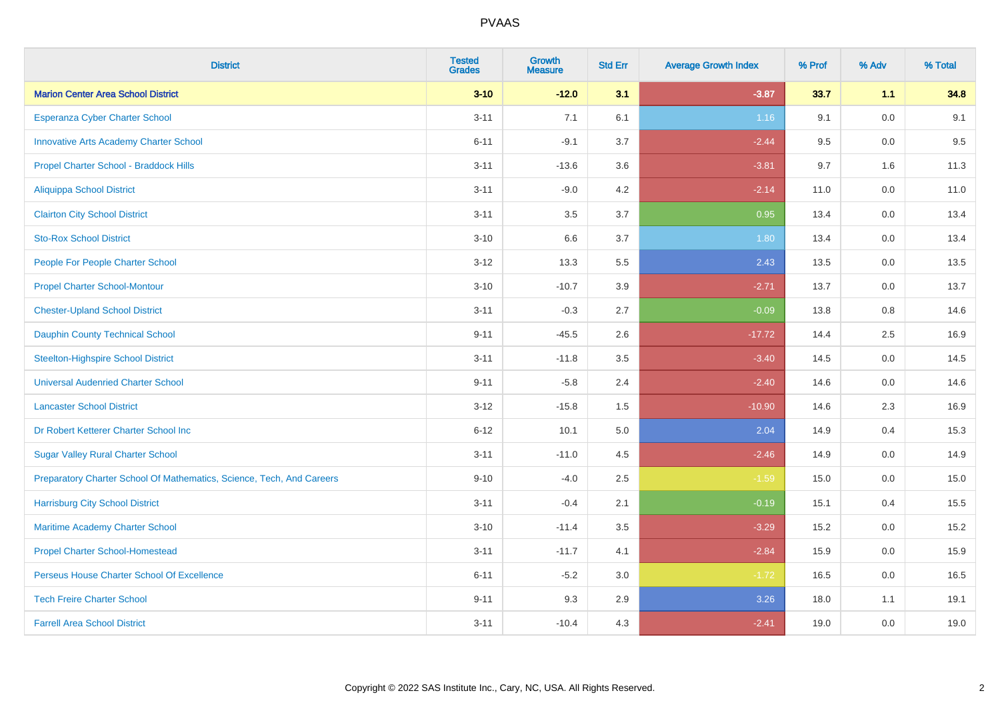| <b>District</b>                                                       | <b>Tested</b><br><b>Grades</b> | <b>Growth</b><br><b>Measure</b> | <b>Std Err</b> | <b>Average Growth Index</b> | % Prof | % Adv   | % Total |
|-----------------------------------------------------------------------|--------------------------------|---------------------------------|----------------|-----------------------------|--------|---------|---------|
| <b>Marion Center Area School District</b>                             | $3 - 10$                       | $-12.0$                         | 3.1            | $-3.87$                     | 33.7   | 1.1     | 34.8    |
| Esperanza Cyber Charter School                                        | $3 - 11$                       | 7.1                             | 6.1            | 1.16                        | 9.1    | 0.0     | 9.1     |
| <b>Innovative Arts Academy Charter School</b>                         | $6 - 11$                       | $-9.1$                          | 3.7            | $-2.44$                     | 9.5    | 0.0     | 9.5     |
| Propel Charter School - Braddock Hills                                | $3 - 11$                       | $-13.6$                         | 3.6            | $-3.81$                     | 9.7    | 1.6     | 11.3    |
| <b>Aliquippa School District</b>                                      | $3 - 11$                       | $-9.0$                          | 4.2            | $-2.14$                     | 11.0   | 0.0     | 11.0    |
| <b>Clairton City School District</b>                                  | $3 - 11$                       | 3.5                             | 3.7            | 0.95                        | 13.4   | 0.0     | 13.4    |
| <b>Sto-Rox School District</b>                                        | $3 - 10$                       | 6.6                             | 3.7            | 1.80                        | 13.4   | 0.0     | 13.4    |
| People For People Charter School                                      | $3 - 12$                       | 13.3                            | 5.5            | 2.43                        | 13.5   | 0.0     | 13.5    |
| <b>Propel Charter School-Montour</b>                                  | $3 - 10$                       | $-10.7$                         | 3.9            | $-2.71$                     | 13.7   | 0.0     | 13.7    |
| <b>Chester-Upland School District</b>                                 | $3 - 11$                       | $-0.3$                          | 2.7            | $-0.09$                     | 13.8   | 0.8     | 14.6    |
| <b>Dauphin County Technical School</b>                                | $9 - 11$                       | $-45.5$                         | 2.6            | $-17.72$                    | 14.4   | $2.5\,$ | 16.9    |
| <b>Steelton-Highspire School District</b>                             | $3 - 11$                       | $-11.8$                         | 3.5            | $-3.40$                     | 14.5   | 0.0     | 14.5    |
| <b>Universal Audenried Charter School</b>                             | $9 - 11$                       | $-5.8$                          | 2.4            | $-2.40$                     | 14.6   | 0.0     | 14.6    |
| <b>Lancaster School District</b>                                      | $3 - 12$                       | $-15.8$                         | 1.5            | $-10.90$                    | 14.6   | 2.3     | 16.9    |
| Dr Robert Ketterer Charter School Inc                                 | $6 - 12$                       | 10.1                            | 5.0            | 2.04                        | 14.9   | 0.4     | 15.3    |
| <b>Sugar Valley Rural Charter School</b>                              | $3 - 11$                       | $-11.0$                         | 4.5            | $-2.46$                     | 14.9   | 0.0     | 14.9    |
| Preparatory Charter School Of Mathematics, Science, Tech, And Careers | $9 - 10$                       | $-4.0$                          | 2.5            | $-1.59$                     | 15.0   | $0.0\,$ | 15.0    |
| <b>Harrisburg City School District</b>                                | $3 - 11$                       | $-0.4$                          | 2.1            | $-0.19$                     | 15.1   | 0.4     | 15.5    |
| Maritime Academy Charter School                                       | $3 - 10$                       | $-11.4$                         | 3.5            | $-3.29$                     | 15.2   | 0.0     | 15.2    |
| <b>Propel Charter School-Homestead</b>                                | $3 - 11$                       | $-11.7$                         | 4.1            | $-2.84$                     | 15.9   | 0.0     | 15.9    |
| Perseus House Charter School Of Excellence                            | $6 - 11$                       | $-5.2$                          | 3.0            | $-1.72$                     | 16.5   | 0.0     | 16.5    |
| <b>Tech Freire Charter School</b>                                     | $9 - 11$                       | 9.3                             | 2.9            | 3.26                        | 18.0   | 1.1     | 19.1    |
| <b>Farrell Area School District</b>                                   | $3 - 11$                       | $-10.4$                         | 4.3            | $-2.41$                     | 19.0   | 0.0     | 19.0    |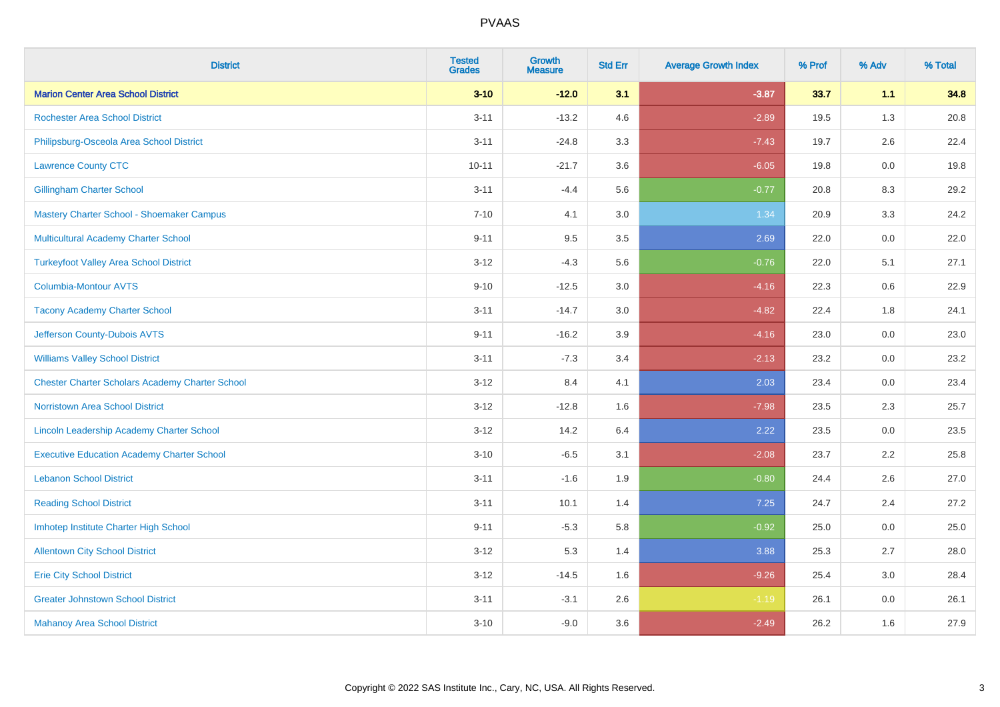| <b>District</b>                                        | <b>Tested</b><br><b>Grades</b> | <b>Growth</b><br><b>Measure</b> | <b>Std Err</b> | <b>Average Growth Index</b> | % Prof | % Adv   | % Total |
|--------------------------------------------------------|--------------------------------|---------------------------------|----------------|-----------------------------|--------|---------|---------|
| <b>Marion Center Area School District</b>              | $3 - 10$                       | $-12.0$                         | 3.1            | $-3.87$                     | 33.7   | 1.1     | 34.8    |
| <b>Rochester Area School District</b>                  | $3 - 11$                       | $-13.2$                         | 4.6            | $-2.89$                     | 19.5   | 1.3     | 20.8    |
| Philipsburg-Osceola Area School District               | $3 - 11$                       | $-24.8$                         | 3.3            | $-7.43$                     | 19.7   | 2.6     | 22.4    |
| <b>Lawrence County CTC</b>                             | $10 - 11$                      | $-21.7$                         | 3.6            | $-6.05$                     | 19.8   | $0.0\,$ | 19.8    |
| <b>Gillingham Charter School</b>                       | $3 - 11$                       | $-4.4$                          | 5.6            | $-0.77$                     | 20.8   | 8.3     | 29.2    |
| Mastery Charter School - Shoemaker Campus              | $7 - 10$                       | 4.1                             | 3.0            | 1.34                        | 20.9   | 3.3     | 24.2    |
| Multicultural Academy Charter School                   | $9 - 11$                       | 9.5                             | 3.5            | 2.69                        | 22.0   | 0.0     | 22.0    |
| <b>Turkeyfoot Valley Area School District</b>          | $3 - 12$                       | $-4.3$                          | 5.6            | $-0.76$                     | 22.0   | 5.1     | 27.1    |
| <b>Columbia-Montour AVTS</b>                           | $9 - 10$                       | $-12.5$                         | 3.0            | $-4.16$                     | 22.3   | 0.6     | 22.9    |
| <b>Tacony Academy Charter School</b>                   | $3 - 11$                       | $-14.7$                         | 3.0            | $-4.82$                     | 22.4   | 1.8     | 24.1    |
| Jefferson County-Dubois AVTS                           | $9 - 11$                       | $-16.2$                         | 3.9            | $-4.16$                     | 23.0   | 0.0     | 23.0    |
| <b>Williams Valley School District</b>                 | $3 - 11$                       | $-7.3$                          | 3.4            | $-2.13$                     | 23.2   | 0.0     | 23.2    |
| <b>Chester Charter Scholars Academy Charter School</b> | $3 - 12$                       | 8.4                             | 4.1            | 2.03                        | 23.4   | 0.0     | 23.4    |
| Norristown Area School District                        | $3 - 12$                       | $-12.8$                         | 1.6            | $-7.98$                     | 23.5   | 2.3     | 25.7    |
| Lincoln Leadership Academy Charter School              | $3 - 12$                       | 14.2                            | 6.4            | 2.22                        | 23.5   | 0.0     | 23.5    |
| <b>Executive Education Academy Charter School</b>      | $3 - 10$                       | $-6.5$                          | 3.1            | $-2.08$                     | 23.7   | 2.2     | 25.8    |
| <b>Lebanon School District</b>                         | $3 - 11$                       | $-1.6$                          | 1.9            | $-0.80$                     | 24.4   | 2.6     | 27.0    |
| <b>Reading School District</b>                         | $3 - 11$                       | 10.1                            | 1.4            | $7.25$                      | 24.7   | 2.4     | 27.2    |
| Imhotep Institute Charter High School                  | $9 - 11$                       | $-5.3$                          | 5.8            | $-0.92$                     | 25.0   | 0.0     | 25.0    |
| <b>Allentown City School District</b>                  | $3 - 12$                       | 5.3                             | 1.4            | 3.88                        | 25.3   | 2.7     | 28.0    |
| <b>Erie City School District</b>                       | $3 - 12$                       | $-14.5$                         | 1.6            | $-9.26$                     | 25.4   | 3.0     | 28.4    |
| <b>Greater Johnstown School District</b>               | $3 - 11$                       | $-3.1$                          | 2.6            | $-1.19$                     | 26.1   | 0.0     | 26.1    |
| <b>Mahanoy Area School District</b>                    | $3 - 10$                       | $-9.0$                          | 3.6            | $-2.49$                     | 26.2   | 1.6     | 27.9    |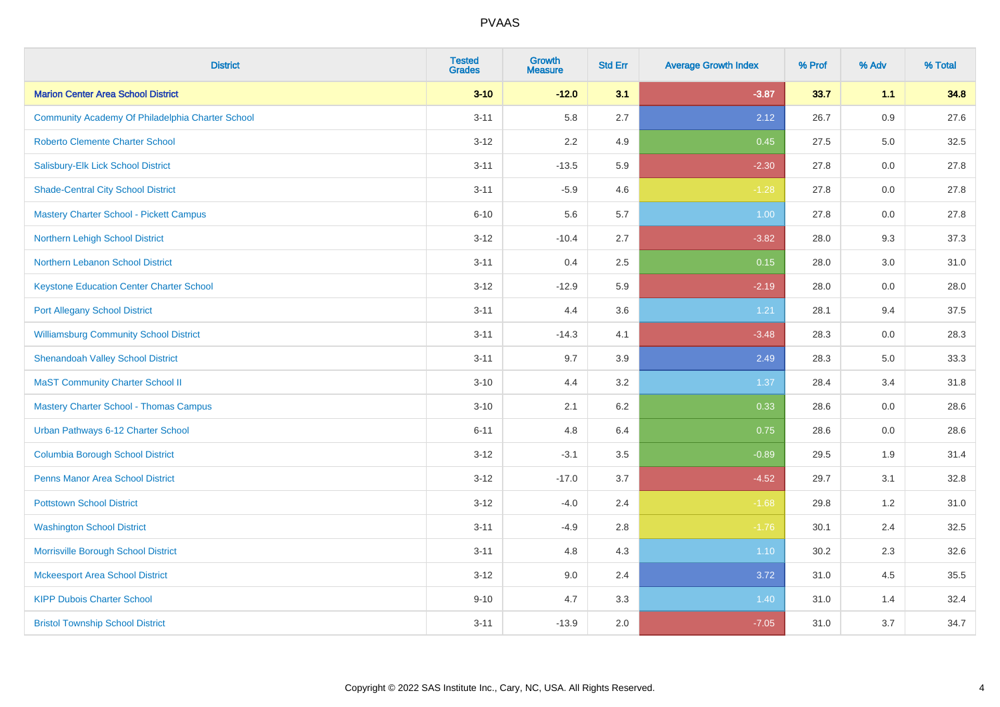| <b>District</b>                                  | <b>Tested</b><br><b>Grades</b> | <b>Growth</b><br><b>Measure</b> | <b>Std Err</b> | <b>Average Growth Index</b> | % Prof | % Adv | % Total |
|--------------------------------------------------|--------------------------------|---------------------------------|----------------|-----------------------------|--------|-------|---------|
| <b>Marion Center Area School District</b>        | $3 - 10$                       | $-12.0$                         | 3.1            | $-3.87$                     | 33.7   | 1.1   | 34.8    |
| Community Academy Of Philadelphia Charter School | $3 - 11$                       | 5.8                             | 2.7            | 2.12                        | 26.7   | 0.9   | 27.6    |
| <b>Roberto Clemente Charter School</b>           | $3 - 12$                       | 2.2                             | 4.9            | 0.45                        | 27.5   | 5.0   | 32.5    |
| Salisbury-Elk Lick School District               | $3 - 11$                       | $-13.5$                         | 5.9            | $-2.30$                     | 27.8   | 0.0   | 27.8    |
| <b>Shade-Central City School District</b>        | $3 - 11$                       | $-5.9$                          | 4.6            | $-1.28$                     | 27.8   | 0.0   | 27.8    |
| <b>Mastery Charter School - Pickett Campus</b>   | $6 - 10$                       | 5.6                             | 5.7            | 1.00                        | 27.8   | 0.0   | 27.8    |
| Northern Lehigh School District                  | $3 - 12$                       | $-10.4$                         | 2.7            | $-3.82$                     | 28.0   | 9.3   | 37.3    |
| Northern Lebanon School District                 | $3 - 11$                       | 0.4                             | 2.5            | 0.15                        | 28.0   | 3.0   | 31.0    |
| <b>Keystone Education Center Charter School</b>  | $3 - 12$                       | $-12.9$                         | 5.9            | $-2.19$                     | 28.0   | 0.0   | 28.0    |
| <b>Port Allegany School District</b>             | $3 - 11$                       | 4.4                             | 3.6            | 1.21                        | 28.1   | 9.4   | 37.5    |
| <b>Williamsburg Community School District</b>    | $3 - 11$                       | $-14.3$                         | 4.1            | $-3.48$                     | 28.3   | 0.0   | 28.3    |
| <b>Shenandoah Valley School District</b>         | $3 - 11$                       | 9.7                             | 3.9            | 2.49                        | 28.3   | 5.0   | 33.3    |
| <b>MaST Community Charter School II</b>          | $3 - 10$                       | 4.4                             | 3.2            | 1.37                        | 28.4   | 3.4   | 31.8    |
| <b>Mastery Charter School - Thomas Campus</b>    | $3 - 10$                       | 2.1                             | 6.2            | 0.33                        | 28.6   | 0.0   | 28.6    |
| Urban Pathways 6-12 Charter School               | $6 - 11$                       | 4.8                             | 6.4            | 0.75                        | 28.6   | 0.0   | 28.6    |
| <b>Columbia Borough School District</b>          | $3 - 12$                       | $-3.1$                          | 3.5            | $-0.89$                     | 29.5   | 1.9   | 31.4    |
| <b>Penns Manor Area School District</b>          | $3 - 12$                       | $-17.0$                         | 3.7            | $-4.52$                     | 29.7   | 3.1   | 32.8    |
| <b>Pottstown School District</b>                 | $3 - 12$                       | $-4.0$                          | 2.4            | $-1.68$                     | 29.8   | 1.2   | 31.0    |
| <b>Washington School District</b>                | $3 - 11$                       | $-4.9$                          | 2.8            | $-1.76$                     | 30.1   | 2.4   | 32.5    |
| Morrisville Borough School District              | $3 - 11$                       | 4.8                             | 4.3            | 1.10                        | 30.2   | 2.3   | 32.6    |
| <b>Mckeesport Area School District</b>           | $3 - 12$                       | 9.0                             | 2.4            | 3.72                        | 31.0   | 4.5   | 35.5    |
| <b>KIPP Dubois Charter School</b>                | $9 - 10$                       | 4.7                             | 3.3            | 1.40                        | 31.0   | 1.4   | 32.4    |
| <b>Bristol Township School District</b>          | $3 - 11$                       | $-13.9$                         | 2.0            | $-7.05$                     | 31.0   | 3.7   | 34.7    |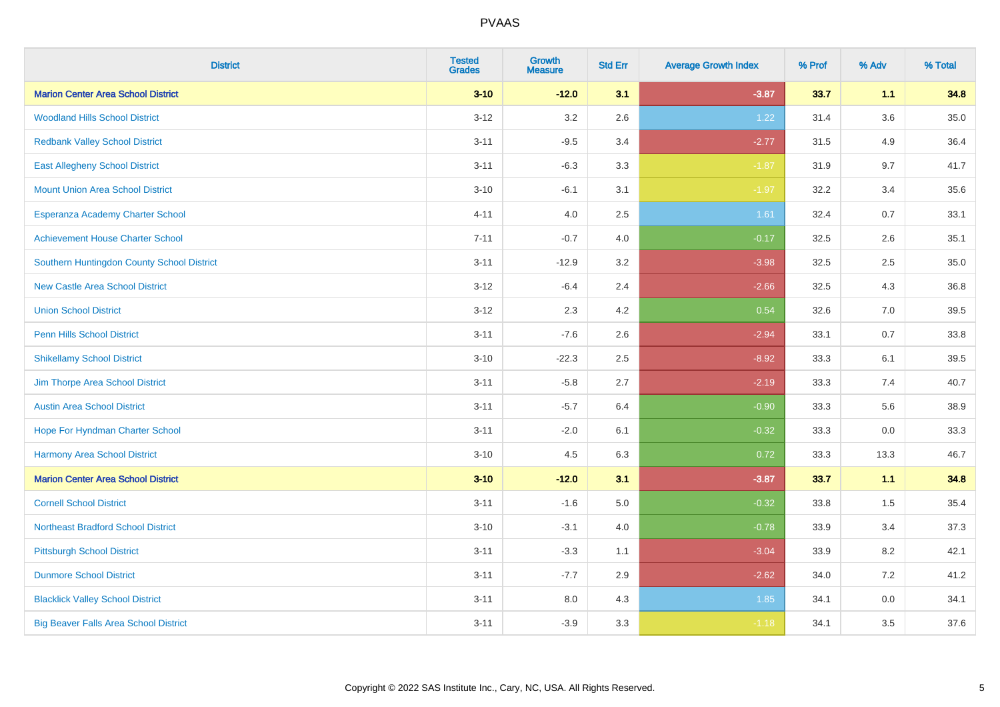| <b>District</b>                              | <b>Tested</b><br><b>Grades</b> | <b>Growth</b><br><b>Measure</b> | <b>Std Err</b> | <b>Average Growth Index</b> | % Prof | % Adv   | % Total  |
|----------------------------------------------|--------------------------------|---------------------------------|----------------|-----------------------------|--------|---------|----------|
| <b>Marion Center Area School District</b>    | $3 - 10$                       | $-12.0$                         | 3.1            | $-3.87$                     | 33.7   | 1.1     | 34.8     |
| <b>Woodland Hills School District</b>        | $3 - 12$                       | $3.2\,$                         | 2.6            | 1.22                        | 31.4   | $3.6\,$ | $35.0\,$ |
| <b>Redbank Valley School District</b>        | $3 - 11$                       | $-9.5$                          | 3.4            | $-2.77$                     | 31.5   | 4.9     | 36.4     |
| <b>East Allegheny School District</b>        | $3 - 11$                       | $-6.3$                          | 3.3            | $-1.87$                     | 31.9   | 9.7     | 41.7     |
| <b>Mount Union Area School District</b>      | $3 - 10$                       | $-6.1$                          | 3.1            | $-1.97$                     | 32.2   | 3.4     | 35.6     |
| Esperanza Academy Charter School             | $4 - 11$                       | 4.0                             | 2.5            | 1.61                        | 32.4   | 0.7     | 33.1     |
| <b>Achievement House Charter School</b>      | $7 - 11$                       | $-0.7$                          | 4.0            | $-0.17$                     | 32.5   | 2.6     | 35.1     |
| Southern Huntingdon County School District   | $3 - 11$                       | $-12.9$                         | 3.2            | $-3.98$                     | 32.5   | 2.5     | 35.0     |
| <b>New Castle Area School District</b>       | $3 - 12$                       | $-6.4$                          | 2.4            | $-2.66$                     | 32.5   | 4.3     | 36.8     |
| <b>Union School District</b>                 | $3 - 12$                       | 2.3                             | 4.2            | 0.54                        | 32.6   | 7.0     | 39.5     |
| Penn Hills School District                   | $3 - 11$                       | $-7.6$                          | 2.6            | $-2.94$                     | 33.1   | 0.7     | 33.8     |
| <b>Shikellamy School District</b>            | $3 - 10$                       | $-22.3$                         | 2.5            | $-8.92$                     | 33.3   | 6.1     | 39.5     |
| Jim Thorpe Area School District              | $3 - 11$                       | $-5.8$                          | 2.7            | $-2.19$                     | 33.3   | 7.4     | 40.7     |
| <b>Austin Area School District</b>           | $3 - 11$                       | $-5.7$                          | 6.4            | $-0.90$                     | 33.3   | 5.6     | 38.9     |
| Hope For Hyndman Charter School              | $3 - 11$                       | $-2.0$                          | 6.1            | $-0.32$                     | 33.3   | 0.0     | 33.3     |
| <b>Harmony Area School District</b>          | $3 - 10$                       | 4.5                             | 6.3            | 0.72                        | 33.3   | 13.3    | 46.7     |
| <b>Marion Center Area School District</b>    | $3 - 10$                       | $-12.0$                         | 3.1            | $-3.87$                     | 33.7   | 1.1     | 34.8     |
| <b>Cornell School District</b>               | $3 - 11$                       | $-1.6$                          | 5.0            | $-0.32$                     | 33.8   | 1.5     | 35.4     |
| <b>Northeast Bradford School District</b>    | $3 - 10$                       | $-3.1$                          | 4.0            | $-0.78$                     | 33.9   | 3.4     | 37.3     |
| <b>Pittsburgh School District</b>            | $3 - 11$                       | $-3.3$                          | 1.1            | $-3.04$                     | 33.9   | 8.2     | 42.1     |
| <b>Dunmore School District</b>               | $3 - 11$                       | $-7.7$                          | 2.9            | $-2.62$                     | 34.0   | 7.2     | 41.2     |
| <b>Blacklick Valley School District</b>      | $3 - 11$                       | 8.0                             | 4.3            | 1.85                        | 34.1   | 0.0     | 34.1     |
| <b>Big Beaver Falls Area School District</b> | $3 - 11$                       | $-3.9$                          | 3.3            | $-1.18$                     | 34.1   | 3.5     | 37.6     |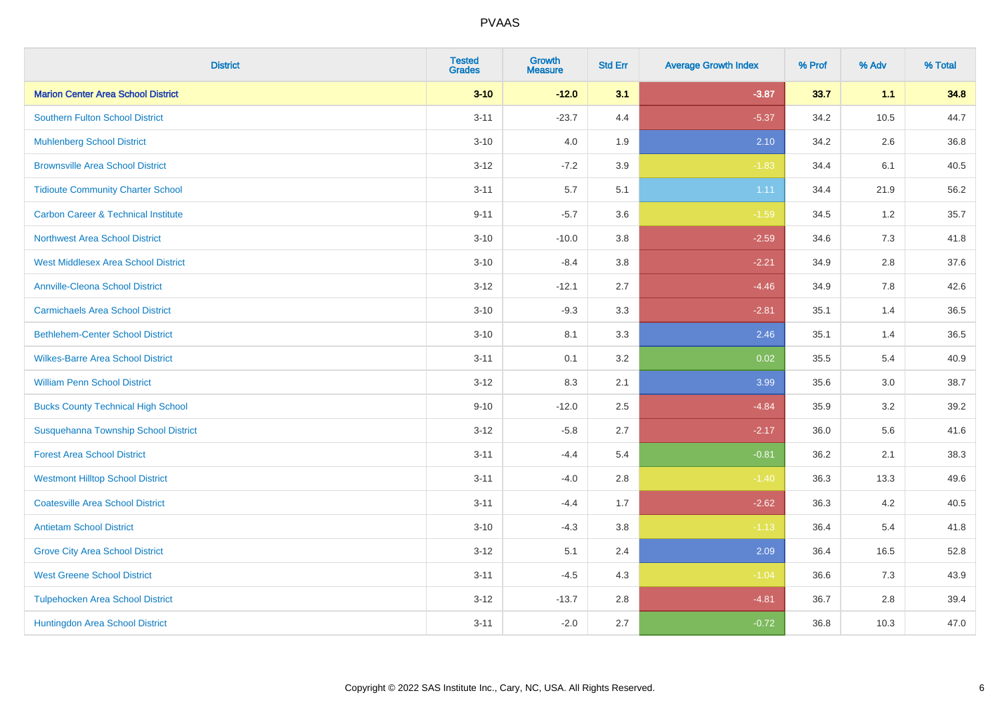| <b>District</b>                                | <b>Tested</b><br><b>Grades</b> | <b>Growth</b><br><b>Measure</b> | <b>Std Err</b> | <b>Average Growth Index</b> | % Prof | % Adv | % Total |
|------------------------------------------------|--------------------------------|---------------------------------|----------------|-----------------------------|--------|-------|---------|
| <b>Marion Center Area School District</b>      | $3 - 10$                       | $-12.0$                         | 3.1            | $-3.87$                     | 33.7   | 1.1   | 34.8    |
| <b>Southern Fulton School District</b>         | $3 - 11$                       | $-23.7$                         | 4.4            | $-5.37$                     | 34.2   | 10.5  | 44.7    |
| <b>Muhlenberg School District</b>              | $3 - 10$                       | 4.0                             | 1.9            | 2.10                        | 34.2   | 2.6   | 36.8    |
| <b>Brownsville Area School District</b>        | $3 - 12$                       | $-7.2$                          | 3.9            | $-1.83$                     | 34.4   | 6.1   | 40.5    |
| <b>Tidioute Community Charter School</b>       | $3 - 11$                       | 5.7                             | 5.1            | 1.11                        | 34.4   | 21.9  | 56.2    |
| <b>Carbon Career &amp; Technical Institute</b> | $9 - 11$                       | $-5.7$                          | 3.6            | $-1.59$                     | 34.5   | 1.2   | 35.7    |
| <b>Northwest Area School District</b>          | $3 - 10$                       | $-10.0$                         | 3.8            | $-2.59$                     | 34.6   | 7.3   | 41.8    |
| <b>West Middlesex Area School District</b>     | $3 - 10$                       | $-8.4$                          | 3.8            | $-2.21$                     | 34.9   | 2.8   | 37.6    |
| <b>Annville-Cleona School District</b>         | $3 - 12$                       | $-12.1$                         | 2.7            | $-4.46$                     | 34.9   | 7.8   | 42.6    |
| <b>Carmichaels Area School District</b>        | $3 - 10$                       | $-9.3$                          | 3.3            | $-2.81$                     | 35.1   | 1.4   | 36.5    |
| <b>Bethlehem-Center School District</b>        | $3 - 10$                       | 8.1                             | 3.3            | 2.46                        | 35.1   | 1.4   | 36.5    |
| <b>Wilkes-Barre Area School District</b>       | $3 - 11$                       | 0.1                             | 3.2            | 0.02                        | 35.5   | 5.4   | 40.9    |
| <b>William Penn School District</b>            | $3 - 12$                       | 8.3                             | 2.1            | 3.99                        | 35.6   | 3.0   | 38.7    |
| <b>Bucks County Technical High School</b>      | $9 - 10$                       | $-12.0$                         | 2.5            | $-4.84$                     | 35.9   | 3.2   | 39.2    |
| Susquehanna Township School District           | $3 - 12$                       | $-5.8$                          | 2.7            | $-2.17$                     | 36.0   | 5.6   | 41.6    |
| <b>Forest Area School District</b>             | $3 - 11$                       | $-4.4$                          | 5.4            | $-0.81$                     | 36.2   | 2.1   | 38.3    |
| <b>Westmont Hilltop School District</b>        | $3 - 11$                       | $-4.0$                          | 2.8            | $-1.40$                     | 36.3   | 13.3  | 49.6    |
| <b>Coatesville Area School District</b>        | $3 - 11$                       | $-4.4$                          | 1.7            | $-2.62$                     | 36.3   | 4.2   | 40.5    |
| <b>Antietam School District</b>                | $3 - 10$                       | $-4.3$                          | 3.8            | $-1.13$                     | 36.4   | 5.4   | 41.8    |
| <b>Grove City Area School District</b>         | $3 - 12$                       | 5.1                             | 2.4            | 2.09                        | 36.4   | 16.5  | 52.8    |
| <b>West Greene School District</b>             | $3 - 11$                       | $-4.5$                          | 4.3            | $-1.04$                     | 36.6   | 7.3   | 43.9    |
| <b>Tulpehocken Area School District</b>        | $3 - 12$                       | $-13.7$                         | 2.8            | $-4.81$                     | 36.7   | 2.8   | 39.4    |
| Huntingdon Area School District                | $3 - 11$                       | $-2.0$                          | 2.7            | $-0.72$                     | 36.8   | 10.3  | 47.0    |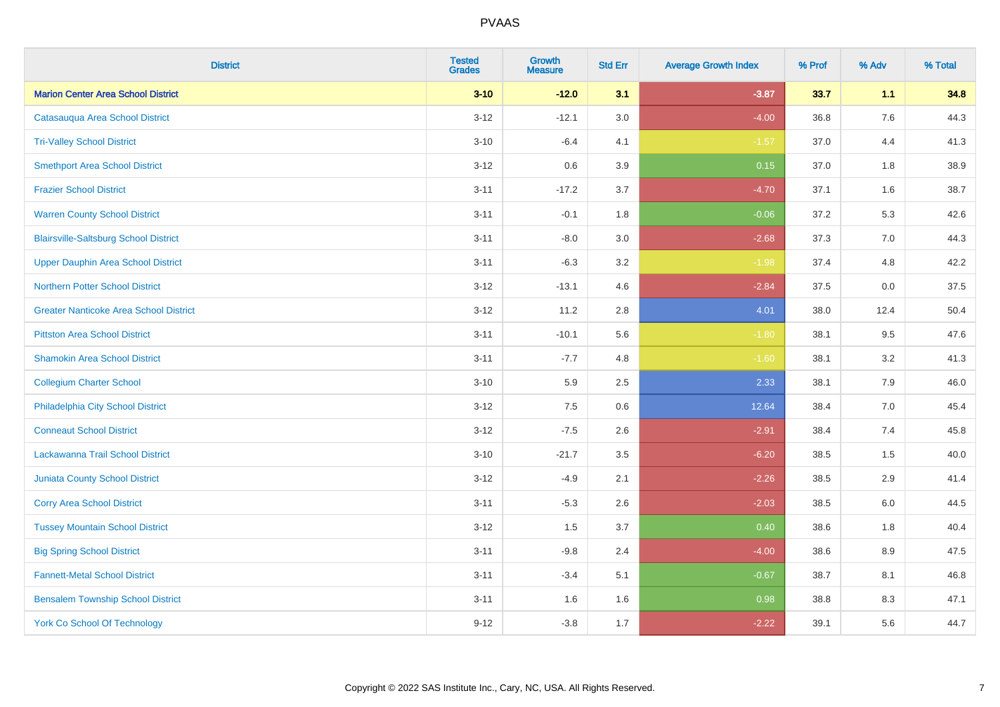| <b>District</b>                               | <b>Tested</b><br><b>Grades</b> | <b>Growth</b><br><b>Measure</b> | <b>Std Err</b> | <b>Average Growth Index</b> | % Prof | % Adv   | % Total |
|-----------------------------------------------|--------------------------------|---------------------------------|----------------|-----------------------------|--------|---------|---------|
| <b>Marion Center Area School District</b>     | $3 - 10$                       | $-12.0$                         | 3.1            | $-3.87$                     | 33.7   | 1.1     | 34.8    |
| Catasauqua Area School District               | $3 - 12$                       | $-12.1$                         | $3.0\,$        | $-4.00$                     | 36.8   | $7.6\,$ | 44.3    |
| <b>Tri-Valley School District</b>             | $3 - 10$                       | $-6.4$                          | 4.1            | $-1.57$                     | 37.0   | 4.4     | 41.3    |
| <b>Smethport Area School District</b>         | $3 - 12$                       | 0.6                             | 3.9            | 0.15                        | 37.0   | 1.8     | 38.9    |
| <b>Frazier School District</b>                | $3 - 11$                       | $-17.2$                         | 3.7            | $-4.70$                     | 37.1   | 1.6     | 38.7    |
| <b>Warren County School District</b>          | $3 - 11$                       | $-0.1$                          | 1.8            | $-0.06$                     | 37.2   | 5.3     | 42.6    |
| <b>Blairsville-Saltsburg School District</b>  | $3 - 11$                       | $-8.0$                          | 3.0            | $-2.68$                     | 37.3   | 7.0     | 44.3    |
| <b>Upper Dauphin Area School District</b>     | $3 - 11$                       | $-6.3$                          | 3.2            | $-1.98$                     | 37.4   | 4.8     | 42.2    |
| Northern Potter School District               | $3 - 12$                       | $-13.1$                         | 4.6            | $-2.84$                     | 37.5   | 0.0     | 37.5    |
| <b>Greater Nanticoke Area School District</b> | $3 - 12$                       | 11.2                            | 2.8            | 4.01                        | 38.0   | 12.4    | 50.4    |
| <b>Pittston Area School District</b>          | $3 - 11$                       | $-10.1$                         | 5.6            | $-1.80$                     | 38.1   | 9.5     | 47.6    |
| <b>Shamokin Area School District</b>          | $3 - 11$                       | $-7.7$                          | 4.8            | $-1.60$                     | 38.1   | 3.2     | 41.3    |
| <b>Collegium Charter School</b>               | $3 - 10$                       | 5.9                             | $2.5\,$        | 2.33                        | 38.1   | $7.9\,$ | 46.0    |
| Philadelphia City School District             | $3 - 12$                       | 7.5                             | 0.6            | 12.64                       | 38.4   | 7.0     | 45.4    |
| <b>Conneaut School District</b>               | $3 - 12$                       | $-7.5$                          | 2.6            | $-2.91$                     | 38.4   | 7.4     | 45.8    |
| Lackawanna Trail School District              | $3 - 10$                       | $-21.7$                         | 3.5            | $-6.20$                     | 38.5   | 1.5     | 40.0    |
| <b>Juniata County School District</b>         | $3 - 12$                       | $-4.9$                          | 2.1            | $-2.26$                     | 38.5   | 2.9     | 41.4    |
| <b>Corry Area School District</b>             | $3 - 11$                       | $-5.3$                          | 2.6            | $-2.03$                     | 38.5   | 6.0     | 44.5    |
| <b>Tussey Mountain School District</b>        | $3 - 12$                       | 1.5                             | 3.7            | 0.40                        | 38.6   | 1.8     | 40.4    |
| <b>Big Spring School District</b>             | $3 - 11$                       | $-9.8$                          | 2.4            | $-4.00$                     | 38.6   | 8.9     | 47.5    |
| <b>Fannett-Metal School District</b>          | $3 - 11$                       | $-3.4$                          | 5.1            | $-0.67$                     | 38.7   | 8.1     | 46.8    |
| <b>Bensalem Township School District</b>      | $3 - 11$                       | 1.6                             | 1.6            | 0.98                        | 38.8   | 8.3     | 47.1    |
| <b>York Co School Of Technology</b>           | $9 - 12$                       | $-3.8$                          | 1.7            | $-2.22$                     | 39.1   | 5.6     | 44.7    |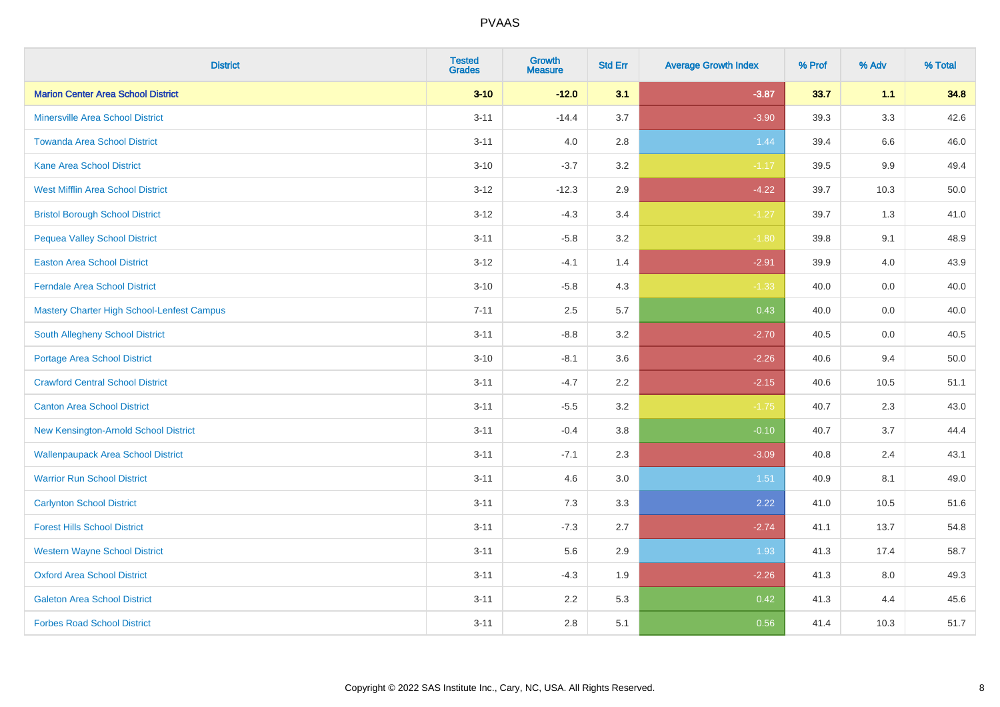| <b>District</b>                            | <b>Tested</b><br><b>Grades</b> | Growth<br><b>Measure</b> | <b>Std Err</b> | <b>Average Growth Index</b> | % Prof | % Adv | % Total |
|--------------------------------------------|--------------------------------|--------------------------|----------------|-----------------------------|--------|-------|---------|
| <b>Marion Center Area School District</b>  | $3 - 10$                       | $-12.0$                  | 3.1            | $-3.87$                     | 33.7   | 1.1   | 34.8    |
| <b>Minersville Area School District</b>    | $3 - 11$                       | $-14.4$                  | 3.7            | $-3.90$                     | 39.3   | 3.3   | 42.6    |
| <b>Towanda Area School District</b>        | $3 - 11$                       | 4.0                      | 2.8            | 1.44                        | 39.4   | 6.6   | 46.0    |
| <b>Kane Area School District</b>           | $3 - 10$                       | $-3.7$                   | 3.2            | $-1.17$                     | 39.5   | 9.9   | 49.4    |
| <b>West Mifflin Area School District</b>   | $3 - 12$                       | $-12.3$                  | 2.9            | $-4.22$                     | 39.7   | 10.3  | 50.0    |
| <b>Bristol Borough School District</b>     | $3 - 12$                       | $-4.3$                   | 3.4            | $-1.27$                     | 39.7   | 1.3   | 41.0    |
| <b>Pequea Valley School District</b>       | $3 - 11$                       | $-5.8$                   | 3.2            | $-1.80$                     | 39.8   | 9.1   | 48.9    |
| <b>Easton Area School District</b>         | $3 - 12$                       | $-4.1$                   | 1.4            | $-2.91$                     | 39.9   | 4.0   | 43.9    |
| <b>Ferndale Area School District</b>       | $3 - 10$                       | $-5.8$                   | 4.3            | $-1.33$                     | 40.0   | 0.0   | 40.0    |
| Mastery Charter High School-Lenfest Campus | $7 - 11$                       | 2.5                      | 5.7            | 0.43                        | 40.0   | 0.0   | 40.0    |
| <b>South Allegheny School District</b>     | $3 - 11$                       | $-8.8$                   | 3.2            | $-2.70$                     | 40.5   | 0.0   | 40.5    |
| <b>Portage Area School District</b>        | $3 - 10$                       | $-8.1$                   | 3.6            | $-2.26$                     | 40.6   | 9.4   | 50.0    |
| <b>Crawford Central School District</b>    | $3 - 11$                       | $-4.7$                   | 2.2            | $-2.15$                     | 40.6   | 10.5  | 51.1    |
| <b>Canton Area School District</b>         | $3 - 11$                       | $-5.5$                   | 3.2            | $-1.75$                     | 40.7   | 2.3   | 43.0    |
| New Kensington-Arnold School District      | $3 - 11$                       | $-0.4$                   | 3.8            | $-0.10$                     | 40.7   | 3.7   | 44.4    |
| <b>Wallenpaupack Area School District</b>  | $3 - 11$                       | $-7.1$                   | 2.3            | $-3.09$                     | 40.8   | 2.4   | 43.1    |
| <b>Warrior Run School District</b>         | $3 - 11$                       | 4.6                      | 3.0            | 1.51                        | 40.9   | 8.1   | 49.0    |
| <b>Carlynton School District</b>           | $3 - 11$                       | 7.3                      | 3.3            | 2.22                        | 41.0   | 10.5  | 51.6    |
| <b>Forest Hills School District</b>        | $3 - 11$                       | $-7.3$                   | 2.7            | $-2.74$                     | 41.1   | 13.7  | 54.8    |
| <b>Western Wayne School District</b>       | $3 - 11$                       | 5.6                      | 2.9            | 1.93                        | 41.3   | 17.4  | 58.7    |
| <b>Oxford Area School District</b>         | $3 - 11$                       | $-4.3$                   | 1.9            | $-2.26$                     | 41.3   | 8.0   | 49.3    |
| <b>Galeton Area School District</b>        | $3 - 11$                       | 2.2                      | 5.3            | 0.42                        | 41.3   | 4.4   | 45.6    |
| <b>Forbes Road School District</b>         | $3 - 11$                       | 2.8                      | 5.1            | 0.56                        | 41.4   | 10.3  | 51.7    |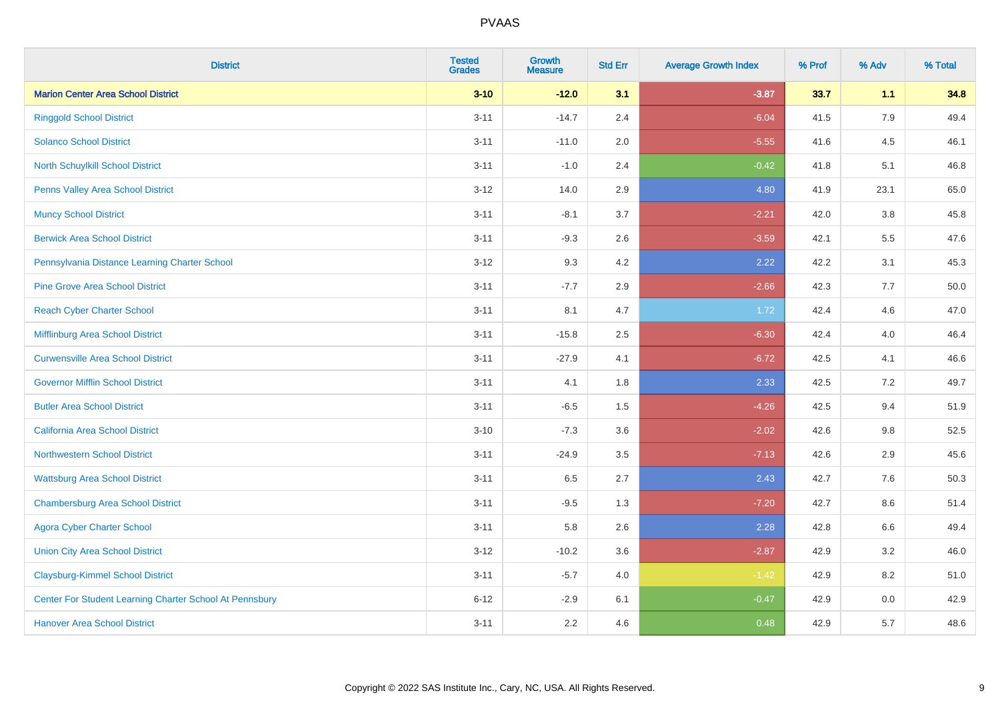| <b>District</b>                                         | <b>Tested</b><br><b>Grades</b> | <b>Growth</b><br><b>Measure</b> | <b>Std Err</b> | <b>Average Growth Index</b> | % Prof | % Adv   | % Total |
|---------------------------------------------------------|--------------------------------|---------------------------------|----------------|-----------------------------|--------|---------|---------|
| <b>Marion Center Area School District</b>               | $3 - 10$                       | $-12.0$                         | 3.1            | $-3.87$                     | 33.7   | 1.1     | 34.8    |
| <b>Ringgold School District</b>                         | $3 - 11$                       | $-14.7$                         | 2.4            | $-6.04$                     | 41.5   | 7.9     | 49.4    |
| <b>Solanco School District</b>                          | $3 - 11$                       | $-11.0$                         | 2.0            | $-5.55$                     | 41.6   | 4.5     | 46.1    |
| North Schuylkill School District                        | $3 - 11$                       | $-1.0$                          | 2.4            | $-0.42$                     | 41.8   | 5.1     | 46.8    |
| Penns Valley Area School District                       | $3 - 12$                       | 14.0                            | 2.9            | 4.80                        | 41.9   | 23.1    | 65.0    |
| <b>Muncy School District</b>                            | $3 - 11$                       | $-8.1$                          | 3.7            | $-2.21$                     | 42.0   | $3.8\,$ | 45.8    |
| <b>Berwick Area School District</b>                     | $3 - 11$                       | $-9.3$                          | 2.6            | $-3.59$                     | 42.1   | 5.5     | 47.6    |
| Pennsylvania Distance Learning Charter School           | $3 - 12$                       | 9.3                             | 4.2            | 2.22                        | 42.2   | 3.1     | 45.3    |
| <b>Pine Grove Area School District</b>                  | $3 - 11$                       | $-7.7$                          | 2.9            | $-2.66$                     | 42.3   | 7.7     | 50.0    |
| <b>Reach Cyber Charter School</b>                       | $3 - 11$                       | 8.1                             | 4.7            | 1.72                        | 42.4   | 4.6     | 47.0    |
| Mifflinburg Area School District                        | $3 - 11$                       | $-15.8$                         | 2.5            | $-6.30$                     | 42.4   | 4.0     | 46.4    |
| <b>Curwensville Area School District</b>                | $3 - 11$                       | $-27.9$                         | 4.1            | $-6.72$                     | 42.5   | 4.1     | 46.6    |
| <b>Governor Mifflin School District</b>                 | $3 - 11$                       | 4.1                             | 1.8            | 2.33                        | 42.5   | 7.2     | 49.7    |
| <b>Butler Area School District</b>                      | $3 - 11$                       | $-6.5$                          | $1.5\,$        | $-4.26$                     | 42.5   | 9.4     | 51.9    |
| <b>California Area School District</b>                  | $3 - 10$                       | $-7.3$                          | 3.6            | $-2.02$                     | 42.6   | 9.8     | 52.5    |
| <b>Northwestern School District</b>                     | $3 - 11$                       | $-24.9$                         | 3.5            | $-7.13$                     | 42.6   | 2.9     | 45.6    |
| <b>Wattsburg Area School District</b>                   | $3 - 11$                       | 6.5                             | 2.7            | 2.43                        | 42.7   | $7.6\,$ | 50.3    |
| <b>Chambersburg Area School District</b>                | $3 - 11$                       | $-9.5$                          | 1.3            | $-7.20$                     | 42.7   | 8.6     | 51.4    |
| <b>Agora Cyber Charter School</b>                       | $3 - 11$                       | 5.8                             | 2.6            | 2.28                        | 42.8   | 6.6     | 49.4    |
| <b>Union City Area School District</b>                  | $3 - 12$                       | $-10.2$                         | 3.6            | $-2.87$                     | 42.9   | 3.2     | 46.0    |
| <b>Claysburg-Kimmel School District</b>                 | $3 - 11$                       | $-5.7$                          | 4.0            | $-1.42$                     | 42.9   | 8.2     | 51.0    |
| Center For Student Learning Charter School At Pennsbury | $6 - 12$                       | $-2.9$                          | 6.1            | $-0.47$                     | 42.9   | 0.0     | 42.9    |
| <b>Hanover Area School District</b>                     | $3 - 11$                       | 2.2                             | 4.6            | 0.48                        | 42.9   | 5.7     | 48.6    |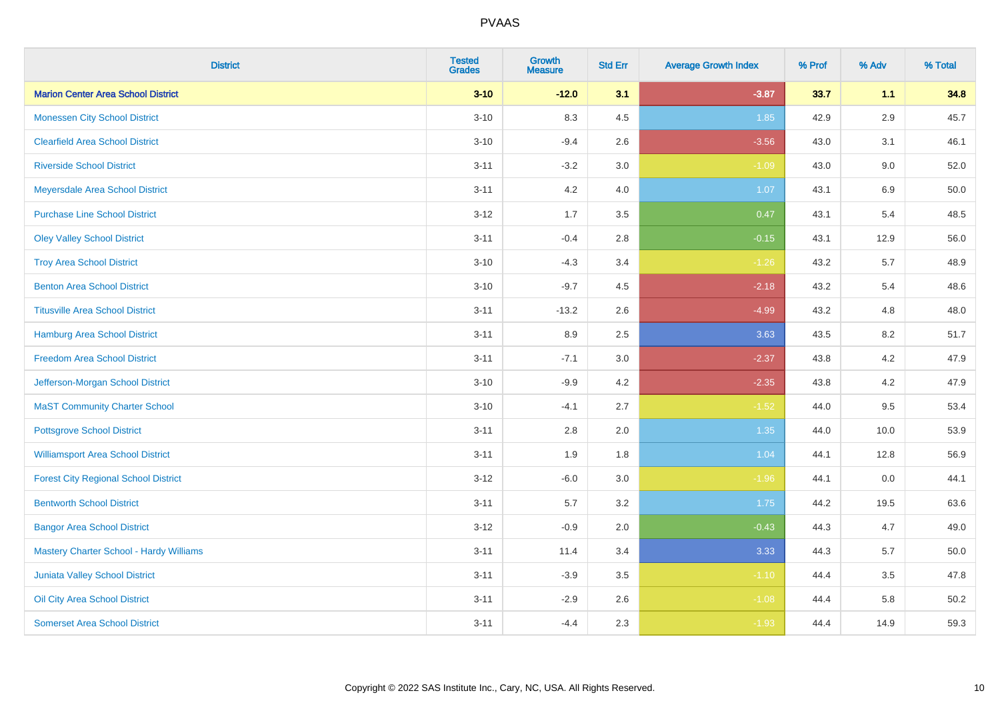| <b>District</b>                                | <b>Tested</b><br><b>Grades</b> | Growth<br><b>Measure</b> | <b>Std Err</b> | <b>Average Growth Index</b> | % Prof | % Adv   | % Total |
|------------------------------------------------|--------------------------------|--------------------------|----------------|-----------------------------|--------|---------|---------|
| <b>Marion Center Area School District</b>      | $3 - 10$                       | $-12.0$                  | 3.1            | $-3.87$                     | 33.7   | 1.1     | 34.8    |
| <b>Monessen City School District</b>           | $3 - 10$                       | 8.3                      | 4.5            | 1.85                        | 42.9   | 2.9     | 45.7    |
| <b>Clearfield Area School District</b>         | $3 - 10$                       | $-9.4$                   | 2.6            | $-3.56$                     | 43.0   | 3.1     | 46.1    |
| <b>Riverside School District</b>               | $3 - 11$                       | $-3.2$                   | 3.0            | $-1.09$                     | 43.0   | 9.0     | 52.0    |
| Meyersdale Area School District                | $3 - 11$                       | 4.2                      | 4.0            | 1.07                        | 43.1   | 6.9     | 50.0    |
| <b>Purchase Line School District</b>           | $3 - 12$                       | 1.7                      | 3.5            | 0.47                        | 43.1   | 5.4     | 48.5    |
| <b>Oley Valley School District</b>             | $3 - 11$                       | $-0.4$                   | 2.8            | $-0.15$                     | 43.1   | 12.9    | 56.0    |
| <b>Troy Area School District</b>               | $3 - 10$                       | $-4.3$                   | 3.4            | $-1.26$                     | 43.2   | 5.7     | 48.9    |
| <b>Benton Area School District</b>             | $3 - 10$                       | $-9.7$                   | 4.5            | $-2.18$                     | 43.2   | 5.4     | 48.6    |
| <b>Titusville Area School District</b>         | $3 - 11$                       | $-13.2$                  | 2.6            | $-4.99$                     | 43.2   | 4.8     | 48.0    |
| Hamburg Area School District                   | $3 - 11$                       | 8.9                      | 2.5            | 3.63                        | 43.5   | 8.2     | 51.7    |
| <b>Freedom Area School District</b>            | $3 - 11$                       | $-7.1$                   | 3.0            | $-2.37$                     | 43.8   | 4.2     | 47.9    |
| Jefferson-Morgan School District               | $3 - 10$                       | $-9.9$                   | 4.2            | $-2.35$                     | 43.8   | $4.2\,$ | 47.9    |
| <b>MaST Community Charter School</b>           | $3 - 10$                       | $-4.1$                   | 2.7            | $-1.52$                     | 44.0   | 9.5     | 53.4    |
| <b>Pottsgrove School District</b>              | $3 - 11$                       | 2.8                      | 2.0            | 1.35                        | 44.0   | 10.0    | 53.9    |
| <b>Williamsport Area School District</b>       | $3 - 11$                       | 1.9                      | 1.8            | 1.04                        | 44.1   | 12.8    | 56.9    |
| <b>Forest City Regional School District</b>    | $3 - 12$                       | $-6.0$                   | 3.0            | $-1.96$                     | 44.1   | 0.0     | 44.1    |
| <b>Bentworth School District</b>               | $3 - 11$                       | 5.7                      | 3.2            | 1.75                        | 44.2   | 19.5    | 63.6    |
| <b>Bangor Area School District</b>             | $3 - 12$                       | $-0.9$                   | 2.0            | $-0.43$                     | 44.3   | 4.7     | 49.0    |
| <b>Mastery Charter School - Hardy Williams</b> | $3 - 11$                       | 11.4                     | 3.4            | 3.33                        | 44.3   | 5.7     | 50.0    |
| Juniata Valley School District                 | $3 - 11$                       | $-3.9$                   | 3.5            | $-1.10$                     | 44.4   | 3.5     | 47.8    |
| Oil City Area School District                  | $3 - 11$                       | $-2.9$                   | 2.6            | $-1.08$                     | 44.4   | 5.8     | 50.2    |
| <b>Somerset Area School District</b>           | $3 - 11$                       | $-4.4$                   | 2.3            | $-1.93$                     | 44.4   | 14.9    | 59.3    |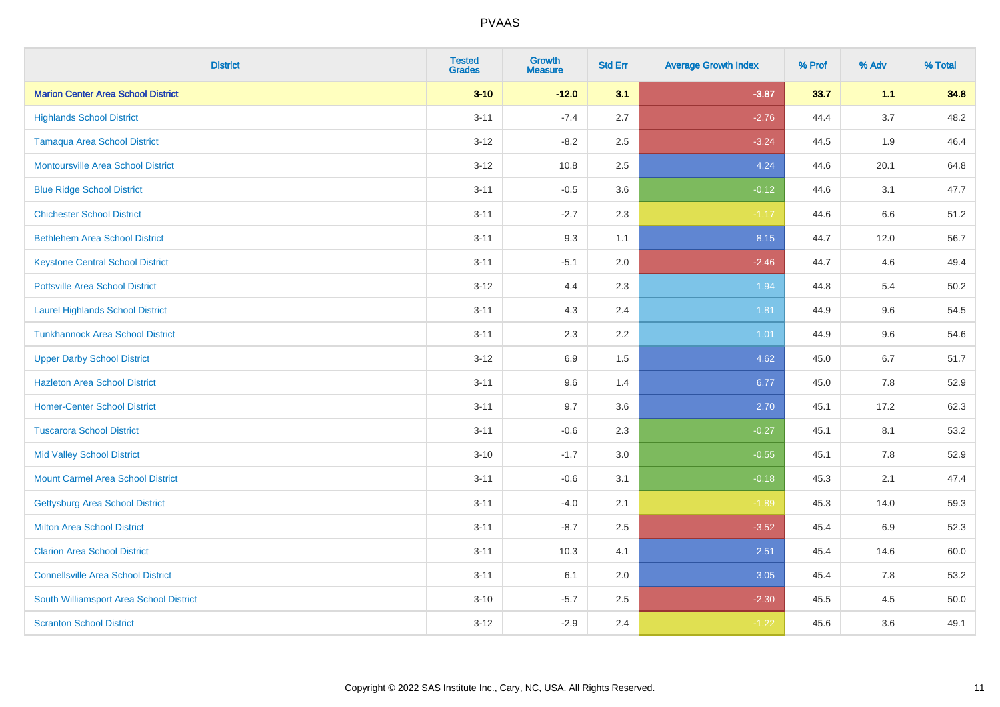| <b>District</b>                           | <b>Tested</b><br><b>Grades</b> | <b>Growth</b><br><b>Measure</b> | <b>Std Err</b> | <b>Average Growth Index</b> | % Prof | % Adv   | % Total |
|-------------------------------------------|--------------------------------|---------------------------------|----------------|-----------------------------|--------|---------|---------|
| <b>Marion Center Area School District</b> | $3 - 10$                       | $-12.0$                         | 3.1            | $-3.87$                     | 33.7   | 1.1     | 34.8    |
| <b>Highlands School District</b>          | $3 - 11$                       | $-7.4$                          | 2.7            | $-2.76$                     | 44.4   | 3.7     | 48.2    |
| <b>Tamaqua Area School District</b>       | $3 - 12$                       | $-8.2$                          | 2.5            | $-3.24$                     | 44.5   | 1.9     | 46.4    |
| <b>Montoursville Area School District</b> | $3 - 12$                       | 10.8                            | 2.5            | 4.24                        | 44.6   | 20.1    | 64.8    |
| <b>Blue Ridge School District</b>         | $3 - 11$                       | $-0.5$                          | 3.6            | $-0.12$                     | 44.6   | 3.1     | 47.7    |
| <b>Chichester School District</b>         | $3 - 11$                       | $-2.7$                          | 2.3            | $-1.17$                     | 44.6   | 6.6     | 51.2    |
| <b>Bethlehem Area School District</b>     | $3 - 11$                       | 9.3                             | 1.1            | 8.15                        | 44.7   | 12.0    | 56.7    |
| <b>Keystone Central School District</b>   | $3 - 11$                       | $-5.1$                          | 2.0            | $-2.46$                     | 44.7   | 4.6     | 49.4    |
| <b>Pottsville Area School District</b>    | $3 - 12$                       | 4.4                             | 2.3            | 1.94                        | 44.8   | 5.4     | 50.2    |
| <b>Laurel Highlands School District</b>   | $3 - 11$                       | 4.3                             | 2.4            | 1.81                        | 44.9   | 9.6     | 54.5    |
| <b>Tunkhannock Area School District</b>   | $3 - 11$                       | 2.3                             | 2.2            | 1.01                        | 44.9   | 9.6     | 54.6    |
| <b>Upper Darby School District</b>        | $3 - 12$                       | 6.9                             | 1.5            | 4.62                        | 45.0   | 6.7     | 51.7    |
| <b>Hazleton Area School District</b>      | $3 - 11$                       | 9.6                             | 1.4            | 6.77                        | 45.0   | $7.8\,$ | 52.9    |
| <b>Homer-Center School District</b>       | $3 - 11$                       | 9.7                             | 3.6            | 2.70                        | 45.1   | 17.2    | 62.3    |
| <b>Tuscarora School District</b>          | $3 - 11$                       | $-0.6$                          | 2.3            | $-0.27$                     | 45.1   | 8.1     | 53.2    |
| <b>Mid Valley School District</b>         | $3 - 10$                       | $-1.7$                          | 3.0            | $-0.55$                     | 45.1   | 7.8     | 52.9    |
| <b>Mount Carmel Area School District</b>  | $3 - 11$                       | $-0.6$                          | 3.1            | $-0.18$                     | 45.3   | 2.1     | 47.4    |
| <b>Gettysburg Area School District</b>    | $3 - 11$                       | $-4.0$                          | 2.1            | $-1.89$                     | 45.3   | 14.0    | 59.3    |
| <b>Milton Area School District</b>        | $3 - 11$                       | $-8.7$                          | 2.5            | $-3.52$                     | 45.4   | 6.9     | 52.3    |
| <b>Clarion Area School District</b>       | $3 - 11$                       | 10.3                            | 4.1            | 2.51                        | 45.4   | 14.6    | 60.0    |
| <b>Connellsville Area School District</b> | $3 - 11$                       | 6.1                             | 2.0            | 3.05                        | 45.4   | 7.8     | 53.2    |
| South Williamsport Area School District   | $3 - 10$                       | $-5.7$                          | 2.5            | $-2.30$                     | 45.5   | 4.5     | 50.0    |
| <b>Scranton School District</b>           | $3 - 12$                       | $-2.9$                          | 2.4            | $-1.22$                     | 45.6   | 3.6     | 49.1    |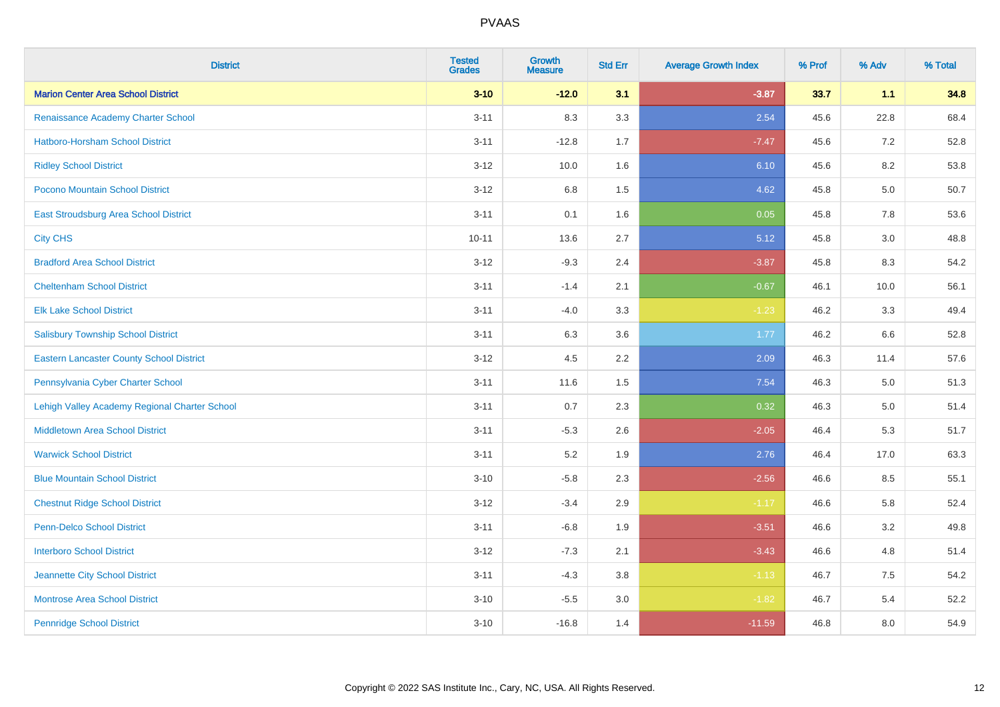| <b>District</b>                                 | <b>Tested</b><br><b>Grades</b> | <b>Growth</b><br><b>Measure</b> | <b>Std Err</b> | <b>Average Growth Index</b> | % Prof | % Adv   | % Total |
|-------------------------------------------------|--------------------------------|---------------------------------|----------------|-----------------------------|--------|---------|---------|
| <b>Marion Center Area School District</b>       | $3 - 10$                       | $-12.0$                         | 3.1            | $-3.87$                     | 33.7   | 1.1     | 34.8    |
| Renaissance Academy Charter School              | $3 - 11$                       | 8.3                             | 3.3            | 2.54                        | 45.6   | 22.8    | 68.4    |
| <b>Hatboro-Horsham School District</b>          | $3 - 11$                       | $-12.8$                         | 1.7            | $-7.47$                     | 45.6   | 7.2     | 52.8    |
| <b>Ridley School District</b>                   | $3 - 12$                       | 10.0                            | 1.6            | 6.10                        | 45.6   | 8.2     | 53.8    |
| Pocono Mountain School District                 | $3 - 12$                       | 6.8                             | 1.5            | 4.62                        | 45.8   | 5.0     | 50.7    |
| <b>East Stroudsburg Area School District</b>    | $3 - 11$                       | 0.1                             | 1.6            | 0.05                        | 45.8   | 7.8     | 53.6    |
| <b>City CHS</b>                                 | $10 - 11$                      | 13.6                            | 2.7            | 5.12                        | 45.8   | 3.0     | 48.8    |
| <b>Bradford Area School District</b>            | $3 - 12$                       | $-9.3$                          | 2.4            | $-3.87$                     | 45.8   | 8.3     | 54.2    |
| <b>Cheltenham School District</b>               | $3 - 11$                       | $-1.4$                          | 2.1            | $-0.67$                     | 46.1   | 10.0    | 56.1    |
| <b>Elk Lake School District</b>                 | $3 - 11$                       | $-4.0$                          | 3.3            | $-1.23$                     | 46.2   | 3.3     | 49.4    |
| <b>Salisbury Township School District</b>       | $3 - 11$                       | 6.3                             | 3.6            | 1.77                        | 46.2   | 6.6     | 52.8    |
| <b>Eastern Lancaster County School District</b> | $3 - 12$                       | 4.5                             | 2.2            | 2.09                        | 46.3   | 11.4    | 57.6    |
| Pennsylvania Cyber Charter School               | $3 - 11$                       | 11.6                            | 1.5            | 7.54                        | 46.3   | $5.0\,$ | 51.3    |
| Lehigh Valley Academy Regional Charter School   | $3 - 11$                       | 0.7                             | 2.3            | 0.32                        | 46.3   | 5.0     | 51.4    |
| <b>Middletown Area School District</b>          | $3 - 11$                       | $-5.3$                          | 2.6            | $-2.05$                     | 46.4   | 5.3     | 51.7    |
| <b>Warwick School District</b>                  | $3 - 11$                       | 5.2                             | 1.9            | 2.76                        | 46.4   | 17.0    | 63.3    |
| <b>Blue Mountain School District</b>            | $3 - 10$                       | $-5.8$                          | 2.3            | $-2.56$                     | 46.6   | 8.5     | 55.1    |
| <b>Chestnut Ridge School District</b>           | $3 - 12$                       | $-3.4$                          | 2.9            | $-1.17$                     | 46.6   | 5.8     | 52.4    |
| Penn-Delco School District                      | $3 - 11$                       | $-6.8$                          | 1.9            | $-3.51$                     | 46.6   | 3.2     | 49.8    |
| <b>Interboro School District</b>                | $3 - 12$                       | $-7.3$                          | 2.1            | $-3.43$                     | 46.6   | 4.8     | 51.4    |
| Jeannette City School District                  | $3 - 11$                       | $-4.3$                          | 3.8            | $-1.13$                     | 46.7   | 7.5     | 54.2    |
| <b>Montrose Area School District</b>            | $3 - 10$                       | $-5.5$                          | 3.0            | $-1.82$                     | 46.7   | 5.4     | 52.2    |
| <b>Pennridge School District</b>                | $3 - 10$                       | $-16.8$                         | 1.4            | $-11.59$                    | 46.8   | 8.0     | 54.9    |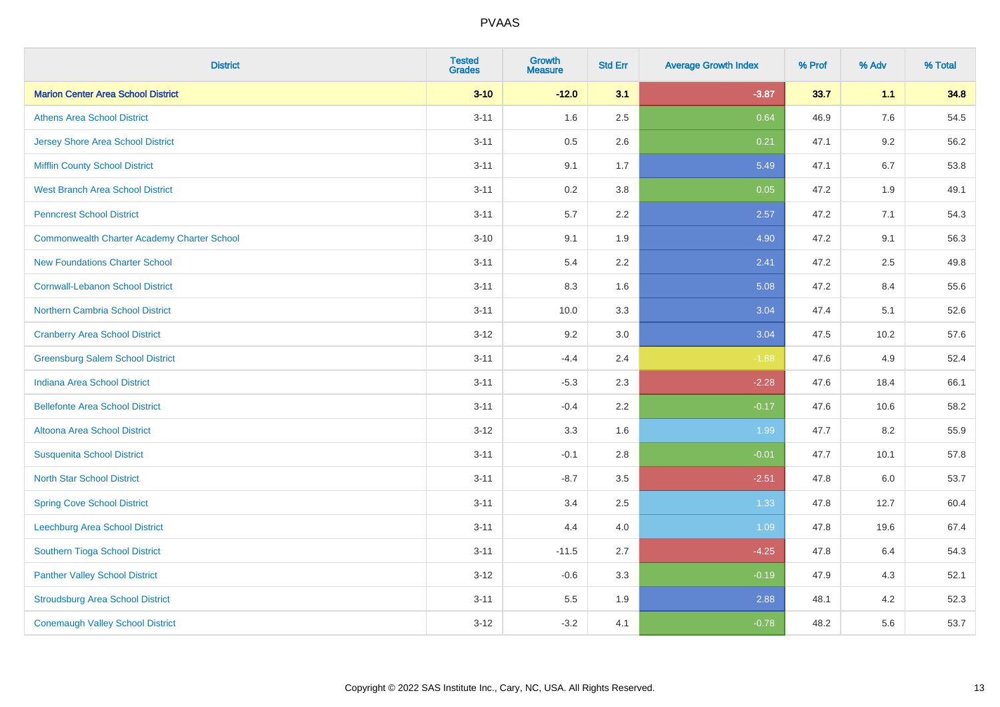| <b>District</b>                                    | <b>Tested</b><br><b>Grades</b> | <b>Growth</b><br><b>Measure</b> | <b>Std Err</b> | <b>Average Growth Index</b> | % Prof | % Adv   | % Total |
|----------------------------------------------------|--------------------------------|---------------------------------|----------------|-----------------------------|--------|---------|---------|
| <b>Marion Center Area School District</b>          | $3 - 10$                       | $-12.0$                         | 3.1            | $-3.87$                     | 33.7   | 1.1     | 34.8    |
| <b>Athens Area School District</b>                 | $3 - 11$                       | 1.6                             | 2.5            | 0.64                        | 46.9   | 7.6     | 54.5    |
| <b>Jersey Shore Area School District</b>           | $3 - 11$                       | 0.5                             | 2.6            | 0.21                        | 47.1   | 9.2     | 56.2    |
| <b>Mifflin County School District</b>              | $3 - 11$                       | 9.1                             | 1.7            | 5.49                        | 47.1   | 6.7     | 53.8    |
| <b>West Branch Area School District</b>            | $3 - 11$                       | 0.2                             | 3.8            | 0.05                        | 47.2   | 1.9     | 49.1    |
| <b>Penncrest School District</b>                   | $3 - 11$                       | 5.7                             | 2.2            | 2.57                        | 47.2   | 7.1     | 54.3    |
| <b>Commonwealth Charter Academy Charter School</b> | $3 - 10$                       | 9.1                             | 1.9            | 4.90                        | 47.2   | 9.1     | 56.3    |
| <b>New Foundations Charter School</b>              | $3 - 11$                       | 5.4                             | 2.2            | 2.41                        | 47.2   | 2.5     | 49.8    |
| <b>Cornwall-Lebanon School District</b>            | $3 - 11$                       | 8.3                             | 1.6            | 5.08                        | 47.2   | 8.4     | 55.6    |
| <b>Northern Cambria School District</b>            | $3 - 11$                       | 10.0                            | 3.3            | 3.04                        | 47.4   | 5.1     | 52.6    |
| <b>Cranberry Area School District</b>              | $3 - 12$                       | 9.2                             | 3.0            | 3.04                        | 47.5   | 10.2    | 57.6    |
| <b>Greensburg Salem School District</b>            | $3 - 11$                       | $-4.4$                          | 2.4            | $-1.88$                     | 47.6   | 4.9     | 52.4    |
| Indiana Area School District                       | $3 - 11$                       | $-5.3$                          | 2.3            | $-2.28$                     | 47.6   | 18.4    | 66.1    |
| <b>Bellefonte Area School District</b>             | $3 - 11$                       | $-0.4$                          | 2.2            | $-0.17$                     | 47.6   | 10.6    | 58.2    |
| Altoona Area School District                       | $3 - 12$                       | 3.3                             | 1.6            | 1.99                        | 47.7   | 8.2     | 55.9    |
| <b>Susquenita School District</b>                  | $3 - 11$                       | $-0.1$                          | 2.8            | $-0.01$                     | 47.7   | 10.1    | 57.8    |
| <b>North Star School District</b>                  | $3 - 11$                       | $-8.7$                          | 3.5            | $-2.51$                     | 47.8   | $6.0\,$ | 53.7    |
| <b>Spring Cove School District</b>                 | $3 - 11$                       | 3.4                             | 2.5            | 1.33                        | 47.8   | 12.7    | 60.4    |
| <b>Leechburg Area School District</b>              | $3 - 11$                       | 4.4                             | 4.0            | 1.09                        | 47.8   | 19.6    | 67.4    |
| Southern Tioga School District                     | $3 - 11$                       | $-11.5$                         | 2.7            | $-4.25$                     | 47.8   | 6.4     | 54.3    |
| <b>Panther Valley School District</b>              | $3 - 12$                       | $-0.6$                          | 3.3            | $-0.19$                     | 47.9   | 4.3     | 52.1    |
| <b>Stroudsburg Area School District</b>            | $3 - 11$                       | 5.5                             | 1.9            | 2.88                        | 48.1   | 4.2     | 52.3    |
| <b>Conemaugh Valley School District</b>            | $3 - 12$                       | $-3.2$                          | 4.1            | $-0.78$                     | 48.2   | 5.6     | 53.7    |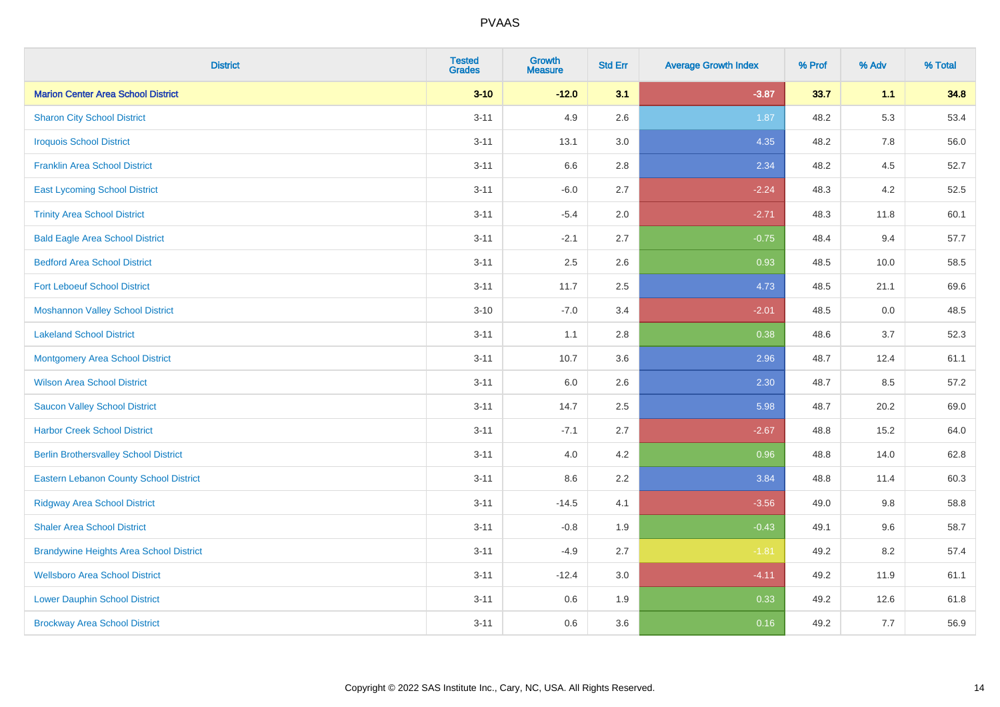| <b>District</b>                                | <b>Tested</b><br><b>Grades</b> | Growth<br><b>Measure</b> | <b>Std Err</b> | <b>Average Growth Index</b> | % Prof | % Adv | % Total |
|------------------------------------------------|--------------------------------|--------------------------|----------------|-----------------------------|--------|-------|---------|
| <b>Marion Center Area School District</b>      | $3 - 10$                       | $-12.0$                  | 3.1            | $-3.87$                     | 33.7   | 1.1   | 34.8    |
| <b>Sharon City School District</b>             | $3 - 11$                       | 4.9                      | 2.6            | 1.87                        | 48.2   | 5.3   | 53.4    |
| <b>Iroquois School District</b>                | $3 - 11$                       | 13.1                     | 3.0            | 4.35                        | 48.2   | 7.8   | 56.0    |
| <b>Franklin Area School District</b>           | $3 - 11$                       | 6.6                      | 2.8            | 2.34                        | 48.2   | 4.5   | 52.7    |
| <b>East Lycoming School District</b>           | $3 - 11$                       | $-6.0$                   | 2.7            | $-2.24$                     | 48.3   | 4.2   | 52.5    |
| <b>Trinity Area School District</b>            | $3 - 11$                       | $-5.4$                   | 2.0            | $-2.71$                     | 48.3   | 11.8  | 60.1    |
| <b>Bald Eagle Area School District</b>         | $3 - 11$                       | $-2.1$                   | 2.7            | $-0.75$                     | 48.4   | 9.4   | 57.7    |
| <b>Bedford Area School District</b>            | $3 - 11$                       | 2.5                      | 2.6            | 0.93                        | 48.5   | 10.0  | 58.5    |
| <b>Fort Leboeuf School District</b>            | $3 - 11$                       | 11.7                     | 2.5            | 4.73                        | 48.5   | 21.1  | 69.6    |
| <b>Moshannon Valley School District</b>        | $3 - 10$                       | $-7.0$                   | 3.4            | $-2.01$                     | 48.5   | 0.0   | 48.5    |
| <b>Lakeland School District</b>                | $3 - 11$                       | 1.1                      | 2.8            | 0.38                        | 48.6   | 3.7   | 52.3    |
| <b>Montgomery Area School District</b>         | $3 - 11$                       | 10.7                     | 3.6            | 2.96                        | 48.7   | 12.4  | 61.1    |
| <b>Wilson Area School District</b>             | $3 - 11$                       | 6.0                      | 2.6            | 2.30                        | 48.7   | 8.5   | 57.2    |
| <b>Saucon Valley School District</b>           | $3 - 11$                       | 14.7                     | 2.5            | 5.98                        | 48.7   | 20.2  | 69.0    |
| <b>Harbor Creek School District</b>            | $3 - 11$                       | $-7.1$                   | 2.7            | $-2.67$                     | 48.8   | 15.2  | 64.0    |
| <b>Berlin Brothersvalley School District</b>   | $3 - 11$                       | 4.0                      | 4.2            | 0.96                        | 48.8   | 14.0  | 62.8    |
| <b>Eastern Lebanon County School District</b>  | $3 - 11$                       | 8.6                      | 2.2            | 3.84                        | 48.8   | 11.4  | 60.3    |
| <b>Ridgway Area School District</b>            | $3 - 11$                       | $-14.5$                  | 4.1            | $-3.56$                     | 49.0   | 9.8   | 58.8    |
| <b>Shaler Area School District</b>             | $3 - 11$                       | $-0.8$                   | 1.9            | $-0.43$                     | 49.1   | 9.6   | 58.7    |
| <b>Brandywine Heights Area School District</b> | $3 - 11$                       | $-4.9$                   | 2.7            | $-1.81$                     | 49.2   | 8.2   | 57.4    |
| <b>Wellsboro Area School District</b>          | $3 - 11$                       | $-12.4$                  | 3.0            | $-4.11$                     | 49.2   | 11.9  | 61.1    |
| <b>Lower Dauphin School District</b>           | $3 - 11$                       | 0.6                      | 1.9            | 0.33                        | 49.2   | 12.6  | 61.8    |
| <b>Brockway Area School District</b>           | $3 - 11$                       | 0.6                      | 3.6            | 0.16                        | 49.2   | 7.7   | 56.9    |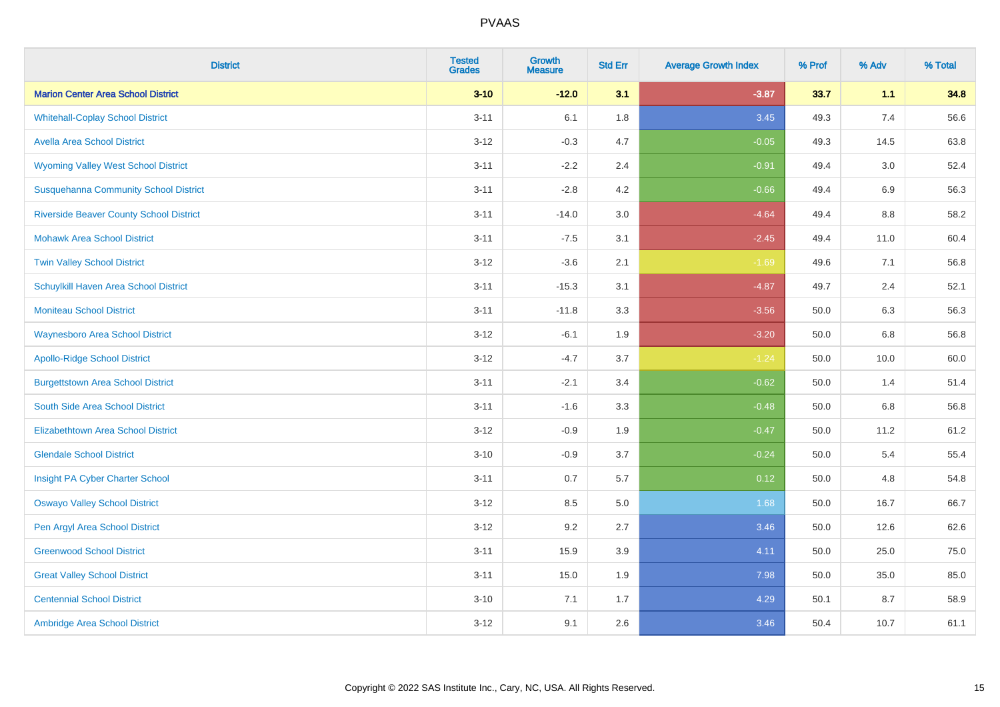| <b>District</b>                                | <b>Tested</b><br><b>Grades</b> | <b>Growth</b><br><b>Measure</b> | <b>Std Err</b> | <b>Average Growth Index</b> | % Prof | % Adv | % Total |
|------------------------------------------------|--------------------------------|---------------------------------|----------------|-----------------------------|--------|-------|---------|
| <b>Marion Center Area School District</b>      | $3 - 10$                       | $-12.0$                         | 3.1            | $-3.87$                     | 33.7   | 1.1   | 34.8    |
| <b>Whitehall-Coplay School District</b>        | $3 - 11$                       | 6.1                             | 1.8            | 3.45                        | 49.3   | 7.4   | 56.6    |
| <b>Avella Area School District</b>             | $3 - 12$                       | $-0.3$                          | 4.7            | $-0.05$                     | 49.3   | 14.5  | 63.8    |
| <b>Wyoming Valley West School District</b>     | $3 - 11$                       | $-2.2$                          | 2.4            | $-0.91$                     | 49.4   | 3.0   | 52.4    |
| <b>Susquehanna Community School District</b>   | $3 - 11$                       | $-2.8$                          | 4.2            | $-0.66$                     | 49.4   | 6.9   | 56.3    |
| <b>Riverside Beaver County School District</b> | $3 - 11$                       | $-14.0$                         | 3.0            | $-4.64$                     | 49.4   | 8.8   | 58.2    |
| <b>Mohawk Area School District</b>             | $3 - 11$                       | $-7.5$                          | 3.1            | $-2.45$                     | 49.4   | 11.0  | 60.4    |
| <b>Twin Valley School District</b>             | $3 - 12$                       | $-3.6$                          | 2.1            | $-1.69$                     | 49.6   | 7.1   | 56.8    |
| Schuylkill Haven Area School District          | $3 - 11$                       | $-15.3$                         | 3.1            | $-4.87$                     | 49.7   | 2.4   | 52.1    |
| <b>Moniteau School District</b>                | $3 - 11$                       | $-11.8$                         | 3.3            | $-3.56$                     | 50.0   | 6.3   | 56.3    |
| <b>Waynesboro Area School District</b>         | $3 - 12$                       | $-6.1$                          | 1.9            | $-3.20$                     | 50.0   | 6.8   | 56.8    |
| <b>Apollo-Ridge School District</b>            | $3 - 12$                       | $-4.7$                          | 3.7            | $-1.24$                     | 50.0   | 10.0  | 60.0    |
| <b>Burgettstown Area School District</b>       | $3 - 11$                       | $-2.1$                          | 3.4            | $-0.62$                     | 50.0   | 1.4   | 51.4    |
| South Side Area School District                | $3 - 11$                       | $-1.6$                          | 3.3            | $-0.48$                     | 50.0   | 6.8   | 56.8    |
| <b>Elizabethtown Area School District</b>      | $3 - 12$                       | $-0.9$                          | 1.9            | $-0.47$                     | 50.0   | 11.2  | 61.2    |
| <b>Glendale School District</b>                | $3 - 10$                       | $-0.9$                          | 3.7            | $-0.24$                     | 50.0   | 5.4   | 55.4    |
| Insight PA Cyber Charter School                | $3 - 11$                       | 0.7                             | 5.7            | 0.12                        | 50.0   | 4.8   | 54.8    |
| <b>Oswayo Valley School District</b>           | $3-12$                         | 8.5                             | 5.0            | 1.68                        | 50.0   | 16.7  | 66.7    |
| Pen Argyl Area School District                 | $3 - 12$                       | 9.2                             | 2.7            | 3.46                        | 50.0   | 12.6  | 62.6    |
| <b>Greenwood School District</b>               | $3 - 11$                       | 15.9                            | 3.9            | 4.11                        | 50.0   | 25.0  | 75.0    |
| <b>Great Valley School District</b>            | $3 - 11$                       | 15.0                            | 1.9            | 7.98                        | 50.0   | 35.0  | 85.0    |
| <b>Centennial School District</b>              | $3 - 10$                       | 7.1                             | 1.7            | 4.29                        | 50.1   | 8.7   | 58.9    |
| Ambridge Area School District                  | $3 - 12$                       | 9.1                             | 2.6            | 3.46                        | 50.4   | 10.7  | 61.1    |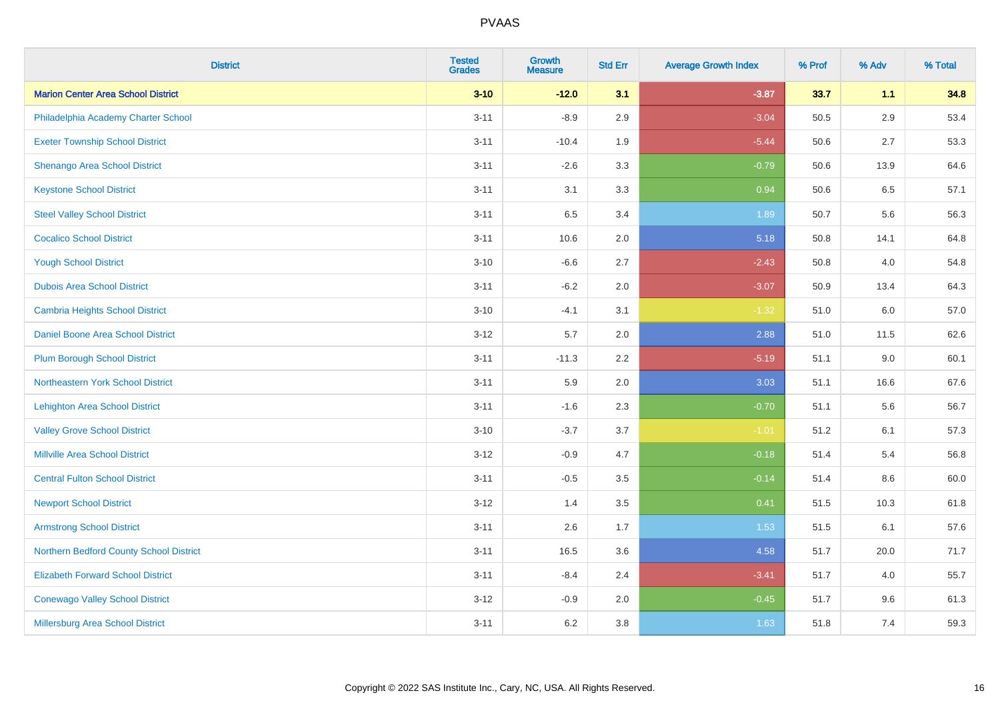| <b>District</b>                           | <b>Tested</b><br><b>Grades</b> | <b>Growth</b><br><b>Measure</b> | <b>Std Err</b> | <b>Average Growth Index</b> | % Prof | % Adv   | % Total |
|-------------------------------------------|--------------------------------|---------------------------------|----------------|-----------------------------|--------|---------|---------|
| <b>Marion Center Area School District</b> | $3 - 10$                       | $-12.0$                         | 3.1            | $-3.87$                     | 33.7   | 1.1     | 34.8    |
| Philadelphia Academy Charter School       | $3 - 11$                       | $-8.9$                          | 2.9            | $-3.04$                     | 50.5   | $2.9\,$ | 53.4    |
| <b>Exeter Township School District</b>    | $3 - 11$                       | $-10.4$                         | 1.9            | $-5.44$                     | 50.6   | 2.7     | 53.3    |
| Shenango Area School District             | $3 - 11$                       | $-2.6$                          | 3.3            | $-0.79$                     | 50.6   | 13.9    | 64.6    |
| <b>Keystone School District</b>           | $3 - 11$                       | 3.1                             | 3.3            | 0.94                        | 50.6   | 6.5     | 57.1    |
| <b>Steel Valley School District</b>       | $3 - 11$                       | 6.5                             | 3.4            | 1.89                        | 50.7   | 5.6     | 56.3    |
| <b>Cocalico School District</b>           | $3 - 11$                       | 10.6                            | 2.0            | 5.18                        | 50.8   | 14.1    | 64.8    |
| <b>Yough School District</b>              | $3 - 10$                       | $-6.6$                          | 2.7            | $-2.43$                     | 50.8   | 4.0     | 54.8    |
| <b>Dubois Area School District</b>        | $3 - 11$                       | $-6.2$                          | 2.0            | $-3.07$                     | 50.9   | 13.4    | 64.3    |
| <b>Cambria Heights School District</b>    | $3 - 10$                       | $-4.1$                          | 3.1            | $-1.32$                     | 51.0   | 6.0     | 57.0    |
| Daniel Boone Area School District         | $3 - 12$                       | 5.7                             | 2.0            | 2.88                        | 51.0   | 11.5    | 62.6    |
| <b>Plum Borough School District</b>       | $3 - 11$                       | $-11.3$                         | 2.2            | $-5.19$                     | 51.1   | 9.0     | 60.1    |
| Northeastern York School District         | $3 - 11$                       | 5.9                             | 2.0            | 3.03                        | 51.1   | 16.6    | 67.6    |
| <b>Lehighton Area School District</b>     | $3 - 11$                       | $-1.6$                          | 2.3            | $-0.70$                     | 51.1   | 5.6     | 56.7    |
| <b>Valley Grove School District</b>       | $3 - 10$                       | $-3.7$                          | 3.7            | $-1.01$                     | 51.2   | 6.1     | 57.3    |
| <b>Millville Area School District</b>     | $3 - 12$                       | $-0.9$                          | 4.7            | $-0.18$                     | 51.4   | 5.4     | 56.8    |
| <b>Central Fulton School District</b>     | $3 - 11$                       | $-0.5$                          | 3.5            | $-0.14$                     | 51.4   | $8.6\,$ | 60.0    |
| <b>Newport School District</b>            | $3 - 12$                       | 1.4                             | 3.5            | 0.41                        | 51.5   | 10.3    | 61.8    |
| <b>Armstrong School District</b>          | $3 - 11$                       | 2.6                             | 1.7            | 1.53                        | 51.5   | 6.1     | 57.6    |
| Northern Bedford County School District   | $3 - 11$                       | 16.5                            | 3.6            | 4.58                        | 51.7   | 20.0    | 71.7    |
| <b>Elizabeth Forward School District</b>  | $3 - 11$                       | $-8.4$                          | 2.4            | $-3.41$                     | 51.7   | 4.0     | 55.7    |
| <b>Conewago Valley School District</b>    | $3 - 12$                       | $-0.9$                          | 2.0            | $-0.45$                     | 51.7   | 9.6     | 61.3    |
| <b>Millersburg Area School District</b>   | $3 - 11$                       | 6.2                             | 3.8            | 1.63                        | 51.8   | 7.4     | 59.3    |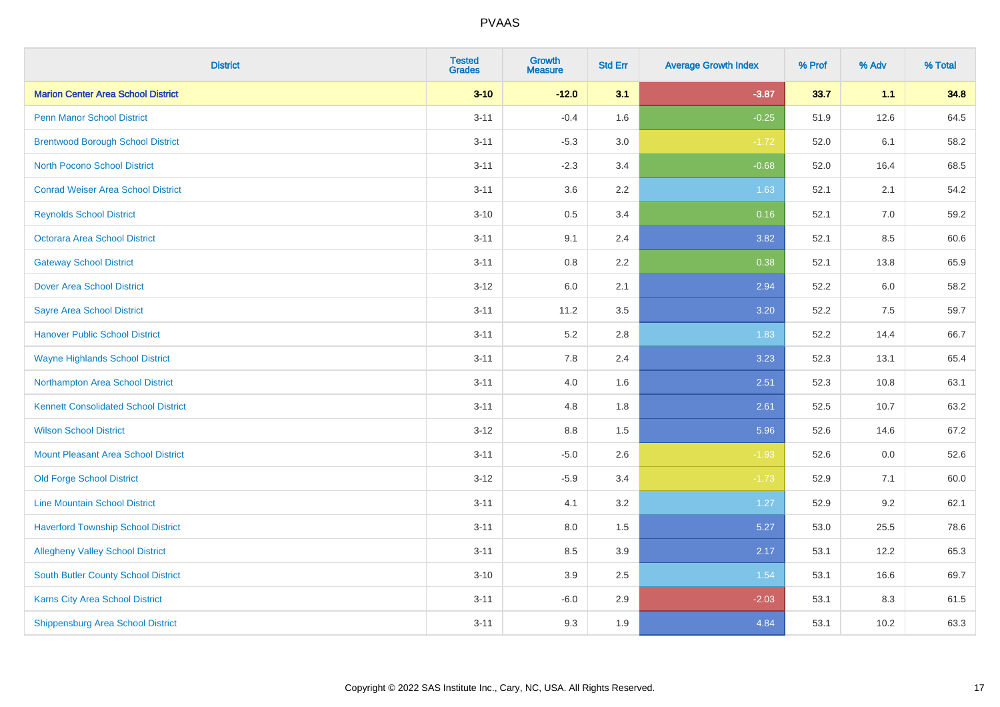| <b>District</b>                             | <b>Tested</b><br><b>Grades</b> | <b>Growth</b><br><b>Measure</b> | <b>Std Err</b> | <b>Average Growth Index</b> | % Prof | % Adv | % Total |
|---------------------------------------------|--------------------------------|---------------------------------|----------------|-----------------------------|--------|-------|---------|
| <b>Marion Center Area School District</b>   | $3 - 10$                       | $-12.0$                         | 3.1            | $-3.87$                     | 33.7   | 1.1   | 34.8    |
| Penn Manor School District                  | $3 - 11$                       | $-0.4$                          | 1.6            | $-0.25$                     | 51.9   | 12.6  | 64.5    |
| <b>Brentwood Borough School District</b>    | $3 - 11$                       | $-5.3$                          | 3.0            | $-1.72$                     | 52.0   | 6.1   | 58.2    |
| <b>North Pocono School District</b>         | $3 - 11$                       | $-2.3$                          | 3.4            | $-0.68$                     | 52.0   | 16.4  | 68.5    |
| <b>Conrad Weiser Area School District</b>   | $3 - 11$                       | 3.6                             | 2.2            | 1.63                        | 52.1   | 2.1   | 54.2    |
| <b>Reynolds School District</b>             | $3 - 10$                       | 0.5                             | 3.4            | 0.16                        | 52.1   | 7.0   | 59.2    |
| Octorara Area School District               | $3 - 11$                       | 9.1                             | 2.4            | 3.82                        | 52.1   | 8.5   | 60.6    |
| <b>Gateway School District</b>              | $3 - 11$                       | $0.8\,$                         | 2.2            | 0.38                        | 52.1   | 13.8  | 65.9    |
| <b>Dover Area School District</b>           | $3-12$                         | 6.0                             | 2.1            | 2.94                        | 52.2   | 6.0   | 58.2    |
| <b>Sayre Area School District</b>           | $3 - 11$                       | 11.2                            | 3.5            | 3.20                        | 52.2   | 7.5   | 59.7    |
| <b>Hanover Public School District</b>       | $3 - 11$                       | 5.2                             | 2.8            | 1.83                        | 52.2   | 14.4  | 66.7    |
| <b>Wayne Highlands School District</b>      | $3 - 11$                       | 7.8                             | 2.4            | 3.23                        | 52.3   | 13.1  | 65.4    |
| Northampton Area School District            | $3 - 11$                       | $4.0\,$                         | 1.6            | 2.51                        | 52.3   | 10.8  | 63.1    |
| <b>Kennett Consolidated School District</b> | $3 - 11$                       | 4.8                             | 1.8            | 2.61                        | 52.5   | 10.7  | 63.2    |
| <b>Wilson School District</b>               | $3 - 12$                       | 8.8                             | 1.5            | 5.96                        | 52.6   | 14.6  | 67.2    |
| <b>Mount Pleasant Area School District</b>  | $3 - 11$                       | $-5.0$                          | 2.6            | $-1.93$                     | 52.6   | 0.0   | 52.6    |
| <b>Old Forge School District</b>            | $3 - 12$                       | $-5.9$                          | 3.4            | $-1.73$                     | 52.9   | 7.1   | 60.0    |
| <b>Line Mountain School District</b>        | $3 - 11$                       | 4.1                             | 3.2            | 1.27                        | 52.9   | 9.2   | 62.1    |
| <b>Haverford Township School District</b>   | $3 - 11$                       | $8.0\,$                         | 1.5            | 5.27                        | 53.0   | 25.5  | 78.6    |
| <b>Allegheny Valley School District</b>     | $3 - 11$                       | 8.5                             | 3.9            | 2.17                        | 53.1   | 12.2  | 65.3    |
| South Butler County School District         | $3 - 10$                       | 3.9                             | 2.5            | 1.54                        | 53.1   | 16.6  | 69.7    |
| <b>Karns City Area School District</b>      | $3 - 11$                       | $-6.0$                          | 2.9            | $-2.03$                     | 53.1   | 8.3   | 61.5    |
| <b>Shippensburg Area School District</b>    | $3 - 11$                       | 9.3                             | 1.9            | 4.84                        | 53.1   | 10.2  | 63.3    |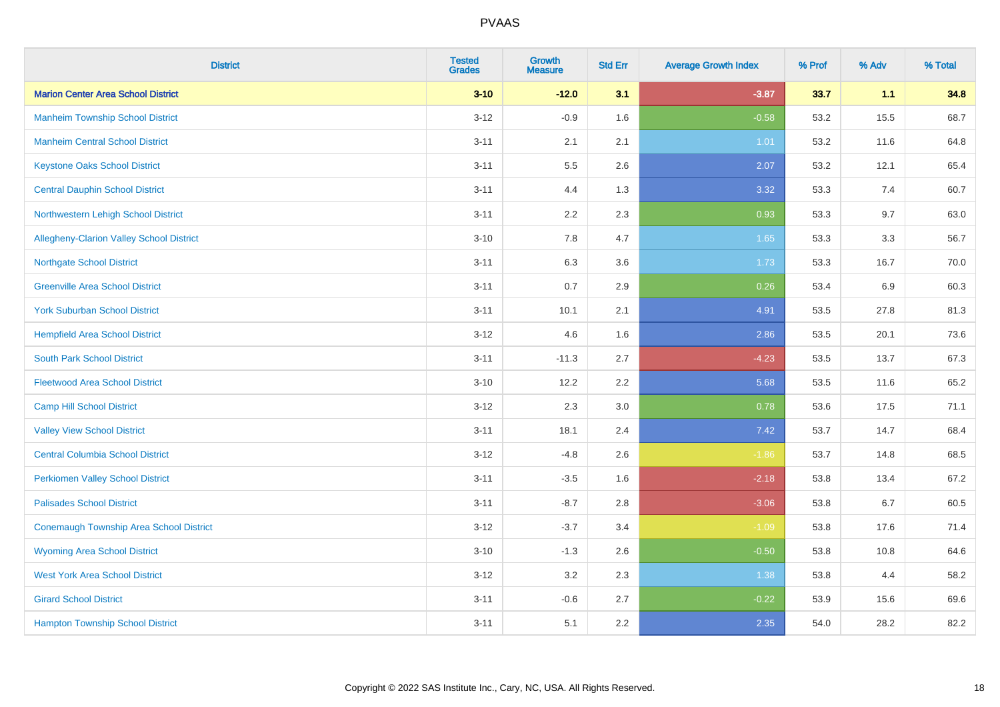| <b>District</b>                                | <b>Tested</b><br><b>Grades</b> | <b>Growth</b><br><b>Measure</b> | <b>Std Err</b> | <b>Average Growth Index</b> | % Prof | % Adv | % Total |
|------------------------------------------------|--------------------------------|---------------------------------|----------------|-----------------------------|--------|-------|---------|
| <b>Marion Center Area School District</b>      | $3 - 10$                       | $-12.0$                         | 3.1            | $-3.87$                     | 33.7   | 1.1   | 34.8    |
| <b>Manheim Township School District</b>        | $3 - 12$                       | $-0.9$                          | 1.6            | $-0.58$                     | 53.2   | 15.5  | 68.7    |
| <b>Manheim Central School District</b>         | $3 - 11$                       | 2.1                             | 2.1            | 1.01                        | 53.2   | 11.6  | 64.8    |
| <b>Keystone Oaks School District</b>           | $3 - 11$                       | $5.5\,$                         | 2.6            | 2.07                        | 53.2   | 12.1  | 65.4    |
| <b>Central Dauphin School District</b>         | $3 - 11$                       | 4.4                             | 1.3            | 3.32                        | 53.3   | 7.4   | 60.7    |
| Northwestern Lehigh School District            | $3 - 11$                       | 2.2                             | 2.3            | 0.93                        | 53.3   | 9.7   | 63.0    |
| Allegheny-Clarion Valley School District       | $3 - 10$                       | 7.8                             | 4.7            | 1.65                        | 53.3   | 3.3   | 56.7    |
| <b>Northgate School District</b>               | $3 - 11$                       | 6.3                             | 3.6            | 1.73                        | 53.3   | 16.7  | 70.0    |
| <b>Greenville Area School District</b>         | $3 - 11$                       | 0.7                             | 2.9            | 0.26                        | 53.4   | 6.9   | 60.3    |
| <b>York Suburban School District</b>           | $3 - 11$                       | 10.1                            | 2.1            | 4.91                        | 53.5   | 27.8  | 81.3    |
| <b>Hempfield Area School District</b>          | $3 - 12$                       | 4.6                             | 1.6            | 2.86                        | 53.5   | 20.1  | 73.6    |
| <b>South Park School District</b>              | $3 - 11$                       | $-11.3$                         | 2.7            | $-4.23$                     | 53.5   | 13.7  | 67.3    |
| <b>Fleetwood Area School District</b>          | $3 - 10$                       | 12.2                            | 2.2            | 5.68                        | 53.5   | 11.6  | 65.2    |
| <b>Camp Hill School District</b>               | $3 - 12$                       | 2.3                             | 3.0            | 0.78                        | 53.6   | 17.5  | 71.1    |
| <b>Valley View School District</b>             | $3 - 11$                       | 18.1                            | 2.4            | 7.42                        | 53.7   | 14.7  | 68.4    |
| <b>Central Columbia School District</b>        | $3 - 12$                       | $-4.8$                          | 2.6            | $-1.86$                     | 53.7   | 14.8  | 68.5    |
| <b>Perkiomen Valley School District</b>        | $3 - 11$                       | $-3.5$                          | 1.6            | $-2.18$                     | 53.8   | 13.4  | 67.2    |
| <b>Palisades School District</b>               | $3 - 11$                       | $-8.7$                          | 2.8            | $-3.06$                     | 53.8   | 6.7   | 60.5    |
| <b>Conemaugh Township Area School District</b> | $3 - 12$                       | $-3.7$                          | 3.4            | $-1.09$                     | 53.8   | 17.6  | 71.4    |
| <b>Wyoming Area School District</b>            | $3 - 10$                       | $-1.3$                          | 2.6            | $-0.50$                     | 53.8   | 10.8  | 64.6    |
| <b>West York Area School District</b>          | $3 - 12$                       | 3.2                             | 2.3            | 1.38                        | 53.8   | 4.4   | 58.2    |
| <b>Girard School District</b>                  | $3 - 11$                       | $-0.6$                          | 2.7            | $-0.22$                     | 53.9   | 15.6  | 69.6    |
| <b>Hampton Township School District</b>        | $3 - 11$                       | 5.1                             | 2.2            | 2.35                        | 54.0   | 28.2  | 82.2    |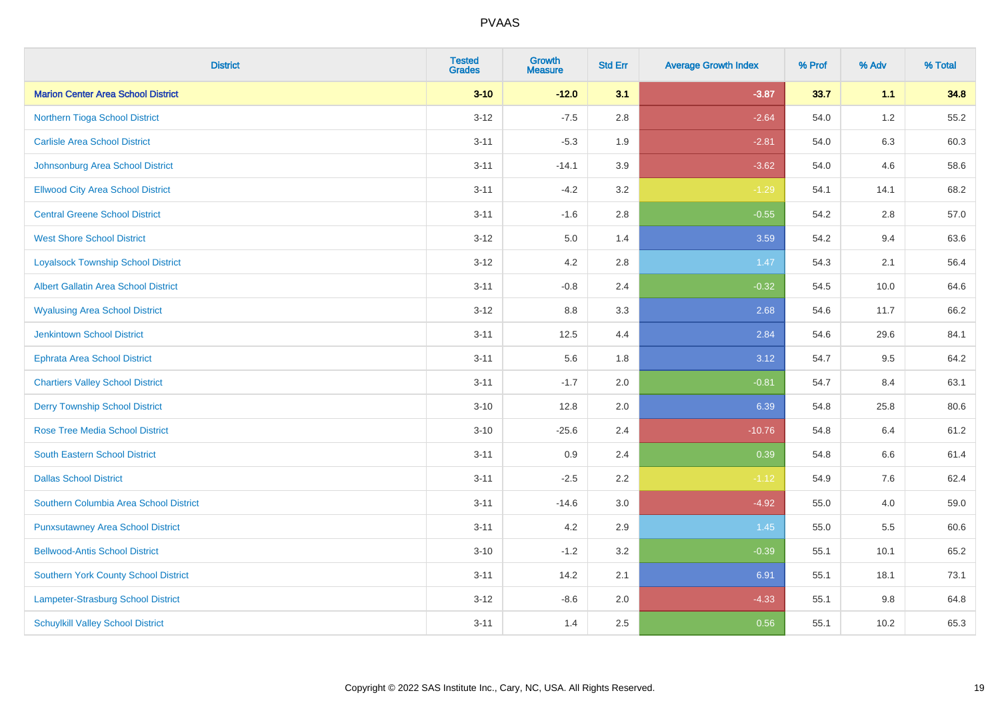| <b>District</b>                             | <b>Tested</b><br><b>Grades</b> | <b>Growth</b><br><b>Measure</b> | <b>Std Err</b> | <b>Average Growth Index</b> | % Prof | % Adv   | % Total |
|---------------------------------------------|--------------------------------|---------------------------------|----------------|-----------------------------|--------|---------|---------|
| <b>Marion Center Area School District</b>   | $3 - 10$                       | $-12.0$                         | 3.1            | $-3.87$                     | 33.7   | 1.1     | 34.8    |
| Northern Tioga School District              | $3 - 12$                       | $-7.5$                          | 2.8            | $-2.64$                     | 54.0   | $1.2\,$ | 55.2    |
| <b>Carlisle Area School District</b>        | $3 - 11$                       | $-5.3$                          | 1.9            | $-2.81$                     | 54.0   | 6.3     | 60.3    |
| Johnsonburg Area School District            | $3 - 11$                       | $-14.1$                         | 3.9            | $-3.62$                     | 54.0   | 4.6     | 58.6    |
| <b>Ellwood City Area School District</b>    | $3 - 11$                       | $-4.2$                          | 3.2            | $-1.29$                     | 54.1   | 14.1    | 68.2    |
| <b>Central Greene School District</b>       | $3 - 11$                       | $-1.6$                          | 2.8            | $-0.55$                     | 54.2   | 2.8     | 57.0    |
| <b>West Shore School District</b>           | $3 - 12$                       | 5.0                             | 1.4            | 3.59                        | 54.2   | 9.4     | 63.6    |
| <b>Loyalsock Township School District</b>   | $3 - 12$                       | 4.2                             | 2.8            | 1.47                        | 54.3   | 2.1     | 56.4    |
| <b>Albert Gallatin Area School District</b> | $3 - 11$                       | $-0.8$                          | 2.4            | $-0.32$                     | 54.5   | 10.0    | 64.6    |
| <b>Wyalusing Area School District</b>       | $3 - 12$                       | 8.8                             | 3.3            | 2.68                        | 54.6   | 11.7    | 66.2    |
| <b>Jenkintown School District</b>           | $3 - 11$                       | 12.5                            | 4.4            | 2.84                        | 54.6   | 29.6    | 84.1    |
| <b>Ephrata Area School District</b>         | $3 - 11$                       | 5.6                             | 1.8            | 3.12                        | 54.7   | 9.5     | 64.2    |
| <b>Chartiers Valley School District</b>     | $3 - 11$                       | $-1.7$                          | 2.0            | $-0.81$                     | 54.7   | 8.4     | 63.1    |
| <b>Derry Township School District</b>       | $3 - 10$                       | 12.8                            | 2.0            | 6.39                        | 54.8   | 25.8    | 80.6    |
| <b>Rose Tree Media School District</b>      | $3 - 10$                       | $-25.6$                         | 2.4            | $-10.76$                    | 54.8   | 6.4     | 61.2    |
| <b>South Eastern School District</b>        | $3 - 11$                       | 0.9                             | 2.4            | 0.39                        | 54.8   | $6.6\,$ | 61.4    |
| <b>Dallas School District</b>               | $3 - 11$                       | $-2.5$                          | 2.2            | $-1.12$                     | 54.9   | 7.6     | 62.4    |
| Southern Columbia Area School District      | $3 - 11$                       | $-14.6$                         | 3.0            | $-4.92$                     | 55.0   | 4.0     | 59.0    |
| <b>Punxsutawney Area School District</b>    | $3 - 11$                       | 4.2                             | 2.9            | 1.45                        | 55.0   | 5.5     | 60.6    |
| <b>Bellwood-Antis School District</b>       | $3 - 10$                       | $-1.2$                          | 3.2            | $-0.39$                     | 55.1   | 10.1    | 65.2    |
| <b>Southern York County School District</b> | $3 - 11$                       | 14.2                            | 2.1            | 6.91                        | 55.1   | 18.1    | 73.1    |
| Lampeter-Strasburg School District          | $3 - 12$                       | $-8.6$                          | 2.0            | $-4.33$                     | 55.1   | 9.8     | 64.8    |
| <b>Schuylkill Valley School District</b>    | $3 - 11$                       | 1.4                             | 2.5            | 0.56                        | 55.1   | 10.2    | 65.3    |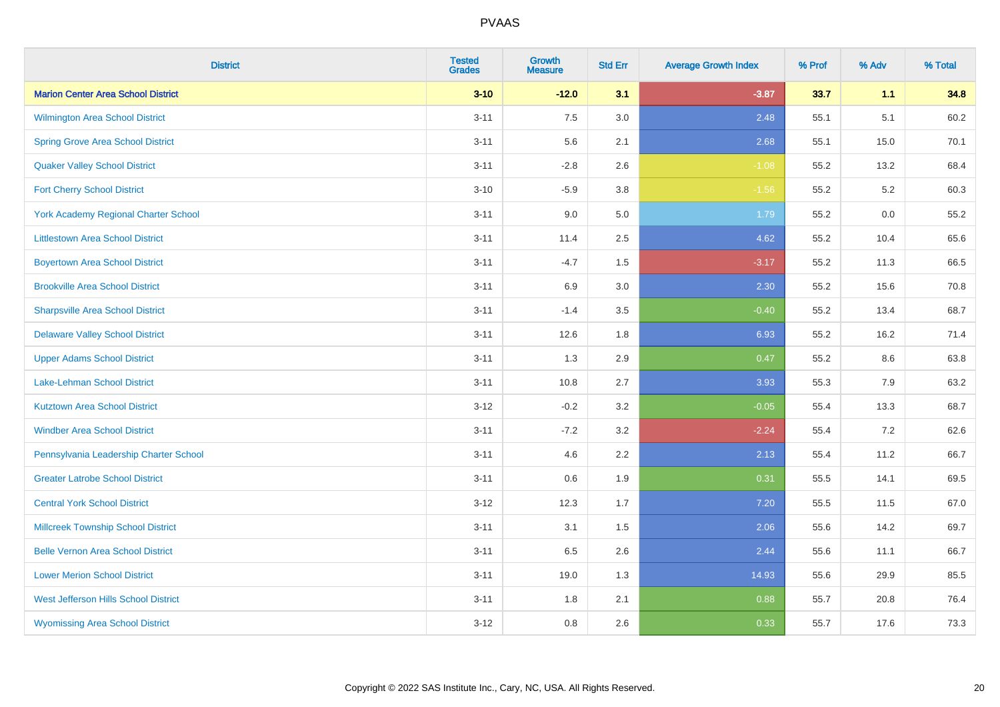| <b>District</b>                             | <b>Tested</b><br><b>Grades</b> | <b>Growth</b><br><b>Measure</b> | <b>Std Err</b> | <b>Average Growth Index</b> | % Prof | % Adv | % Total |
|---------------------------------------------|--------------------------------|---------------------------------|----------------|-----------------------------|--------|-------|---------|
| <b>Marion Center Area School District</b>   | $3 - 10$                       | $-12.0$                         | 3.1            | $-3.87$                     | 33.7   | 1.1   | 34.8    |
| <b>Wilmington Area School District</b>      | $3 - 11$                       | 7.5                             | 3.0            | 2.48                        | 55.1   | 5.1   | 60.2    |
| <b>Spring Grove Area School District</b>    | $3 - 11$                       | 5.6                             | 2.1            | 2.68                        | 55.1   | 15.0  | 70.1    |
| <b>Quaker Valley School District</b>        | $3 - 11$                       | $-2.8$                          | 2.6            | $-1.08$                     | 55.2   | 13.2  | 68.4    |
| <b>Fort Cherry School District</b>          | $3 - 10$                       | $-5.9$                          | 3.8            | $-1.56$                     | 55.2   | 5.2   | 60.3    |
| <b>York Academy Regional Charter School</b> | $3 - 11$                       | 9.0                             | 5.0            | 1.79                        | 55.2   | 0.0   | 55.2    |
| <b>Littlestown Area School District</b>     | $3 - 11$                       | 11.4                            | 2.5            | 4.62                        | 55.2   | 10.4  | 65.6    |
| <b>Boyertown Area School District</b>       | $3 - 11$                       | $-4.7$                          | 1.5            | $-3.17$                     | 55.2   | 11.3  | 66.5    |
| <b>Brookville Area School District</b>      | $3 - 11$                       | 6.9                             | 3.0            | 2.30                        | 55.2   | 15.6  | 70.8    |
| <b>Sharpsville Area School District</b>     | $3 - 11$                       | $-1.4$                          | 3.5            | $-0.40$                     | 55.2   | 13.4  | 68.7    |
| <b>Delaware Valley School District</b>      | $3 - 11$                       | 12.6                            | 1.8            | 6.93                        | 55.2   | 16.2  | 71.4    |
| <b>Upper Adams School District</b>          | $3 - 11$                       | 1.3                             | 2.9            | 0.47                        | 55.2   | 8.6   | 63.8    |
| Lake-Lehman School District                 | $3 - 11$                       | 10.8                            | 2.7            | 3.93                        | 55.3   | 7.9   | 63.2    |
| <b>Kutztown Area School District</b>        | $3 - 12$                       | $-0.2$                          | 3.2            | $-0.05$                     | 55.4   | 13.3  | 68.7    |
| <b>Windber Area School District</b>         | $3 - 11$                       | $-7.2$                          | 3.2            | $-2.24$                     | 55.4   | 7.2   | 62.6    |
| Pennsylvania Leadership Charter School      | $3 - 11$                       | 4.6                             | 2.2            | 2.13                        | 55.4   | 11.2  | 66.7    |
| <b>Greater Latrobe School District</b>      | $3 - 11$                       | 0.6                             | 1.9            | 0.31                        | 55.5   | 14.1  | 69.5    |
| <b>Central York School District</b>         | $3 - 12$                       | 12.3                            | 1.7            | 7.20                        | 55.5   | 11.5  | 67.0    |
| <b>Millcreek Township School District</b>   | $3 - 11$                       | 3.1                             | $1.5$          | 2.06                        | 55.6   | 14.2  | 69.7    |
| <b>Belle Vernon Area School District</b>    | $3 - 11$                       | 6.5                             | 2.6            | 2.44                        | 55.6   | 11.1  | 66.7    |
| <b>Lower Merion School District</b>         | $3 - 11$                       | 19.0                            | 1.3            | 14.93                       | 55.6   | 29.9  | 85.5    |
| West Jefferson Hills School District        | $3 - 11$                       | 1.8                             | 2.1            | 0.88                        | 55.7   | 20.8  | 76.4    |
| <b>Wyomissing Area School District</b>      | $3 - 12$                       | 0.8                             | 2.6            | 0.33                        | 55.7   | 17.6  | 73.3    |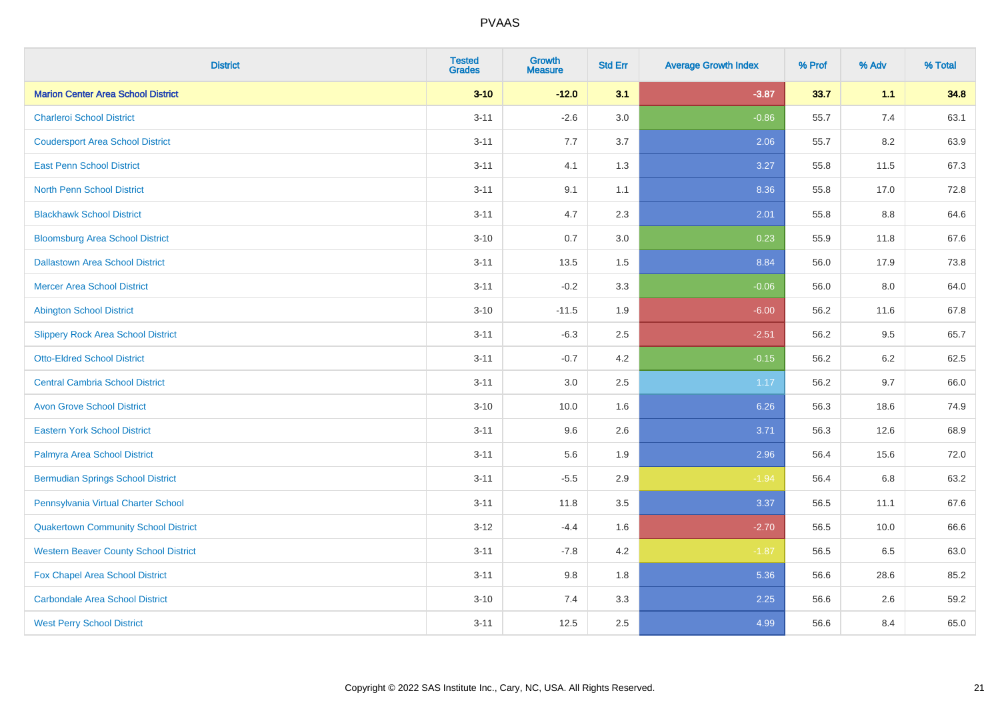| <b>District</b>                              | <b>Tested</b><br><b>Grades</b> | <b>Growth</b><br><b>Measure</b> | <b>Std Err</b> | <b>Average Growth Index</b> | % Prof | % Adv | % Total |
|----------------------------------------------|--------------------------------|---------------------------------|----------------|-----------------------------|--------|-------|---------|
| <b>Marion Center Area School District</b>    | $3 - 10$                       | $-12.0$                         | 3.1            | $-3.87$                     | 33.7   | 1.1   | 34.8    |
| <b>Charleroi School District</b>             | $3 - 11$                       | $-2.6$                          | 3.0            | $-0.86$                     | 55.7   | 7.4   | 63.1    |
| <b>Coudersport Area School District</b>      | $3 - 11$                       | 7.7                             | 3.7            | 2.06                        | 55.7   | 8.2   | 63.9    |
| <b>East Penn School District</b>             | $3 - 11$                       | 4.1                             | 1.3            | 3.27                        | 55.8   | 11.5  | 67.3    |
| <b>North Penn School District</b>            | $3 - 11$                       | 9.1                             | 1.1            | 8.36                        | 55.8   | 17.0  | 72.8    |
| <b>Blackhawk School District</b>             | $3 - 11$                       | 4.7                             | 2.3            | 2.01                        | 55.8   | 8.8   | 64.6    |
| <b>Bloomsburg Area School District</b>       | $3 - 10$                       | 0.7                             | 3.0            | 0.23                        | 55.9   | 11.8  | 67.6    |
| <b>Dallastown Area School District</b>       | $3 - 11$                       | 13.5                            | 1.5            | 8.84                        | 56.0   | 17.9  | 73.8    |
| <b>Mercer Area School District</b>           | $3 - 11$                       | $-0.2$                          | 3.3            | $-0.06$                     | 56.0   | 8.0   | 64.0    |
| <b>Abington School District</b>              | $3 - 10$                       | $-11.5$                         | 1.9            | $-6.00$                     | 56.2   | 11.6  | 67.8    |
| <b>Slippery Rock Area School District</b>    | $3 - 11$                       | $-6.3$                          | 2.5            | $-2.51$                     | 56.2   | 9.5   | 65.7    |
| <b>Otto-Eldred School District</b>           | $3 - 11$                       | $-0.7$                          | 4.2            | $-0.15$                     | 56.2   | 6.2   | 62.5    |
| <b>Central Cambria School District</b>       | $3 - 11$                       | $3.0\,$                         | 2.5            | 1.17                        | 56.2   | 9.7   | 66.0    |
| <b>Avon Grove School District</b>            | $3 - 10$                       | 10.0                            | 1.6            | 6.26                        | 56.3   | 18.6  | 74.9    |
| <b>Eastern York School District</b>          | $3 - 11$                       | 9.6                             | 2.6            | 3.71                        | 56.3   | 12.6  | 68.9    |
| Palmyra Area School District                 | $3 - 11$                       | 5.6                             | 1.9            | 2.96                        | 56.4   | 15.6  | 72.0    |
| <b>Bermudian Springs School District</b>     | $3 - 11$                       | $-5.5$                          | 2.9            | $-1.94$                     | 56.4   | 6.8   | 63.2    |
| Pennsylvania Virtual Charter School          | $3 - 11$                       | 11.8                            | 3.5            | 3.37                        | 56.5   | 11.1  | 67.6    |
| <b>Quakertown Community School District</b>  | $3 - 12$                       | $-4.4$                          | 1.6            | $-2.70$                     | 56.5   | 10.0  | 66.6    |
| <b>Western Beaver County School District</b> | $3 - 11$                       | $-7.8$                          | 4.2            | $-1.87$                     | 56.5   | 6.5   | 63.0    |
| Fox Chapel Area School District              | $3 - 11$                       | 9.8                             | 1.8            | 5.36                        | 56.6   | 28.6  | 85.2    |
| <b>Carbondale Area School District</b>       | $3 - 10$                       | 7.4                             | 3.3            | 2.25                        | 56.6   | 2.6   | 59.2    |
| <b>West Perry School District</b>            | $3 - 11$                       | 12.5                            | 2.5            | 4.99                        | 56.6   | 8.4   | 65.0    |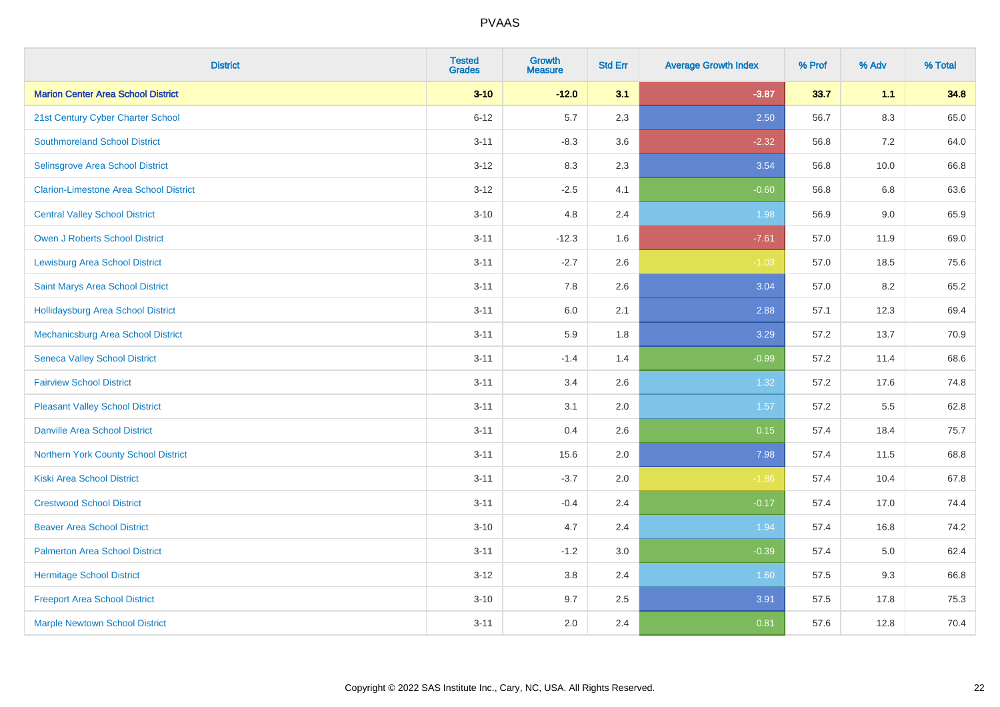| <b>District</b>                               | <b>Tested</b><br><b>Grades</b> | <b>Growth</b><br><b>Measure</b> | <b>Std Err</b> | <b>Average Growth Index</b> | % Prof | % Adv   | % Total |
|-----------------------------------------------|--------------------------------|---------------------------------|----------------|-----------------------------|--------|---------|---------|
| <b>Marion Center Area School District</b>     | $3 - 10$                       | $-12.0$                         | 3.1            | $-3.87$                     | 33.7   | 1.1     | 34.8    |
| 21st Century Cyber Charter School             | $6 - 12$                       | 5.7                             | 2.3            | 2.50                        | 56.7   | $8.3\,$ | 65.0    |
| <b>Southmoreland School District</b>          | $3 - 11$                       | $-8.3$                          | 3.6            | $-2.32$                     | 56.8   | 7.2     | 64.0    |
| Selinsgrove Area School District              | $3 - 12$                       | 8.3                             | 2.3            | 3.54                        | 56.8   | 10.0    | 66.8    |
| <b>Clarion-Limestone Area School District</b> | $3 - 12$                       | $-2.5$                          | 4.1            | $-0.60$                     | 56.8   | 6.8     | 63.6    |
| <b>Central Valley School District</b>         | $3 - 10$                       | 4.8                             | 2.4            | 1.98                        | 56.9   | 9.0     | 65.9    |
| Owen J Roberts School District                | $3 - 11$                       | $-12.3$                         | 1.6            | $-7.61$                     | 57.0   | 11.9    | 69.0    |
| <b>Lewisburg Area School District</b>         | $3 - 11$                       | $-2.7$                          | 2.6            | $-1.03$                     | 57.0   | 18.5    | 75.6    |
| Saint Marys Area School District              | $3 - 11$                       | 7.8                             | 2.6            | 3.04                        | 57.0   | 8.2     | 65.2    |
| <b>Hollidaysburg Area School District</b>     | $3 - 11$                       | 6.0                             | 2.1            | 2.88                        | 57.1   | 12.3    | 69.4    |
| Mechanicsburg Area School District            | $3 - 11$                       | 5.9                             | 1.8            | 3.29                        | 57.2   | 13.7    | 70.9    |
| <b>Seneca Valley School District</b>          | $3 - 11$                       | $-1.4$                          | 1.4            | $-0.99$                     | 57.2   | 11.4    | 68.6    |
| <b>Fairview School District</b>               | $3 - 11$                       | 3.4                             | 2.6            | 1.32                        | 57.2   | 17.6    | 74.8    |
| <b>Pleasant Valley School District</b>        | $3 - 11$                       | 3.1                             | 2.0            | 1.57                        | 57.2   | 5.5     | 62.8    |
| <b>Danville Area School District</b>          | $3 - 11$                       | 0.4                             | 2.6            | 0.15                        | 57.4   | 18.4    | 75.7    |
| Northern York County School District          | $3 - 11$                       | 15.6                            | 2.0            | 7.98                        | 57.4   | 11.5    | 68.8    |
| <b>Kiski Area School District</b>             | $3 - 11$                       | $-3.7$                          | 2.0            | $-1.86$                     | 57.4   | 10.4    | 67.8    |
| <b>Crestwood School District</b>              | $3 - 11$                       | $-0.4$                          | 2.4            | $-0.17$                     | 57.4   | 17.0    | 74.4    |
| <b>Beaver Area School District</b>            | $3 - 10$                       | 4.7                             | 2.4            | 1.94                        | 57.4   | 16.8    | 74.2    |
| <b>Palmerton Area School District</b>         | $3 - 11$                       | $-1.2$                          | 3.0            | $-0.39$                     | 57.4   | 5.0     | 62.4    |
| <b>Hermitage School District</b>              | $3 - 12$                       | 3.8                             | 2.4            | 1.60                        | 57.5   | 9.3     | 66.8    |
| <b>Freeport Area School District</b>          | $3 - 10$                       | 9.7                             | 2.5            | 3.91                        | 57.5   | 17.8    | 75.3    |
| <b>Marple Newtown School District</b>         | $3 - 11$                       | 2.0                             | 2.4            | 0.81                        | 57.6   | 12.8    | 70.4    |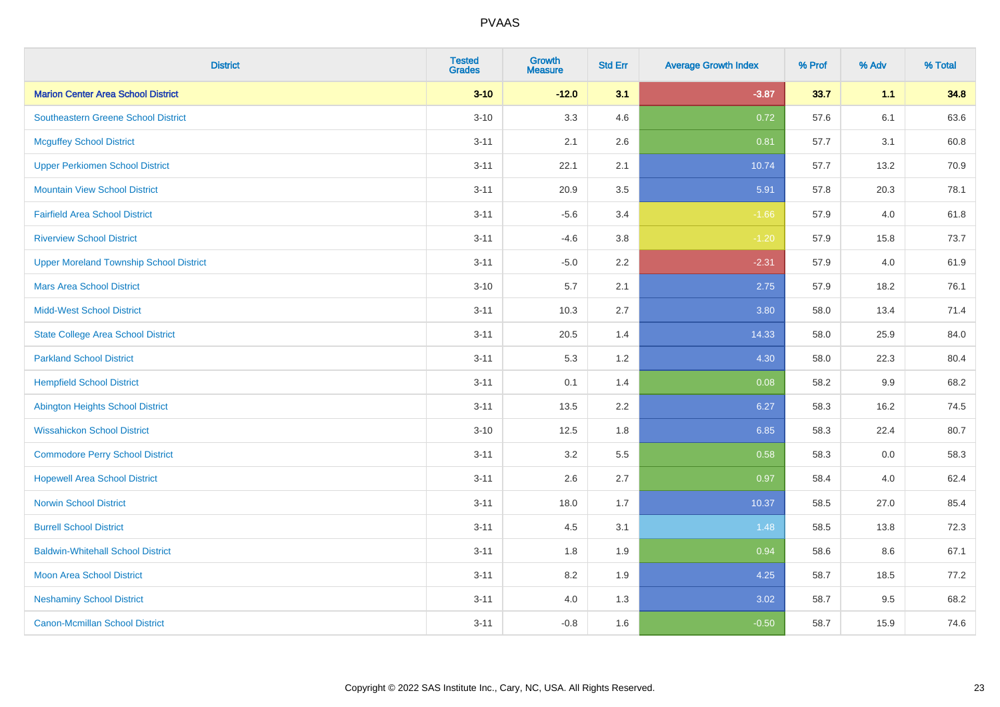| <b>District</b>                                | <b>Tested</b><br><b>Grades</b> | <b>Growth</b><br><b>Measure</b> | <b>Std Err</b> | <b>Average Growth Index</b> | % Prof | % Adv   | % Total |
|------------------------------------------------|--------------------------------|---------------------------------|----------------|-----------------------------|--------|---------|---------|
| <b>Marion Center Area School District</b>      | $3 - 10$                       | $-12.0$                         | 3.1            | $-3.87$                     | 33.7   | 1.1     | 34.8    |
| <b>Southeastern Greene School District</b>     | $3 - 10$                       | 3.3                             | 4.6            | 0.72                        | 57.6   | 6.1     | 63.6    |
| <b>Mcguffey School District</b>                | $3 - 11$                       | 2.1                             | 2.6            | 0.81                        | 57.7   | 3.1     | 60.8    |
| <b>Upper Perkiomen School District</b>         | $3 - 11$                       | 22.1                            | 2.1            | 10.74                       | 57.7   | 13.2    | 70.9    |
| <b>Mountain View School District</b>           | $3 - 11$                       | 20.9                            | 3.5            | 5.91                        | 57.8   | 20.3    | 78.1    |
| <b>Fairfield Area School District</b>          | $3 - 11$                       | $-5.6$                          | 3.4            | $-1.66$                     | 57.9   | 4.0     | 61.8    |
| <b>Riverview School District</b>               | $3 - 11$                       | $-4.6$                          | 3.8            | $-1.20$                     | 57.9   | 15.8    | 73.7    |
| <b>Upper Moreland Township School District</b> | $3 - 11$                       | $-5.0$                          | 2.2            | $-2.31$                     | 57.9   | 4.0     | 61.9    |
| <b>Mars Area School District</b>               | $3 - 10$                       | 5.7                             | 2.1            | 2.75                        | 57.9   | 18.2    | 76.1    |
| <b>Midd-West School District</b>               | $3 - 11$                       | 10.3                            | 2.7            | 3.80                        | 58.0   | 13.4    | 71.4    |
| <b>State College Area School District</b>      | $3 - 11$                       | 20.5                            | 1.4            | 14.33                       | 58.0   | 25.9    | 84.0    |
| <b>Parkland School District</b>                | $3 - 11$                       | 5.3                             | 1.2            | 4.30                        | 58.0   | 22.3    | 80.4    |
| <b>Hempfield School District</b>               | $3 - 11$                       | 0.1                             | 1.4            | 0.08                        | 58.2   | $9.9\,$ | 68.2    |
| <b>Abington Heights School District</b>        | $3 - 11$                       | 13.5                            | 2.2            | 6.27                        | 58.3   | 16.2    | 74.5    |
| <b>Wissahickon School District</b>             | $3 - 10$                       | 12.5                            | 1.8            | 6.85                        | 58.3   | 22.4    | 80.7    |
| <b>Commodore Perry School District</b>         | $3 - 11$                       | 3.2                             | 5.5            | 0.58                        | 58.3   | 0.0     | 58.3    |
| <b>Hopewell Area School District</b>           | $3 - 11$                       | 2.6                             | 2.7            | 0.97                        | 58.4   | 4.0     | 62.4    |
| <b>Norwin School District</b>                  | $3 - 11$                       | 18.0                            | 1.7            | 10.37                       | 58.5   | 27.0    | 85.4    |
| <b>Burrell School District</b>                 | $3 - 11$                       | 4.5                             | 3.1            | 1.48                        | 58.5   | 13.8    | 72.3    |
| <b>Baldwin-Whitehall School District</b>       | $3 - 11$                       | 1.8                             | 1.9            | 0.94                        | 58.6   | 8.6     | 67.1    |
| <b>Moon Area School District</b>               | $3 - 11$                       | 8.2                             | 1.9            | 4.25                        | 58.7   | 18.5    | 77.2    |
| <b>Neshaminy School District</b>               | $3 - 11$                       | 4.0                             | 1.3            | 3.02                        | 58.7   | 9.5     | 68.2    |
| <b>Canon-Mcmillan School District</b>          | $3 - 11$                       | $-0.8$                          | 1.6            | $-0.50$                     | 58.7   | 15.9    | 74.6    |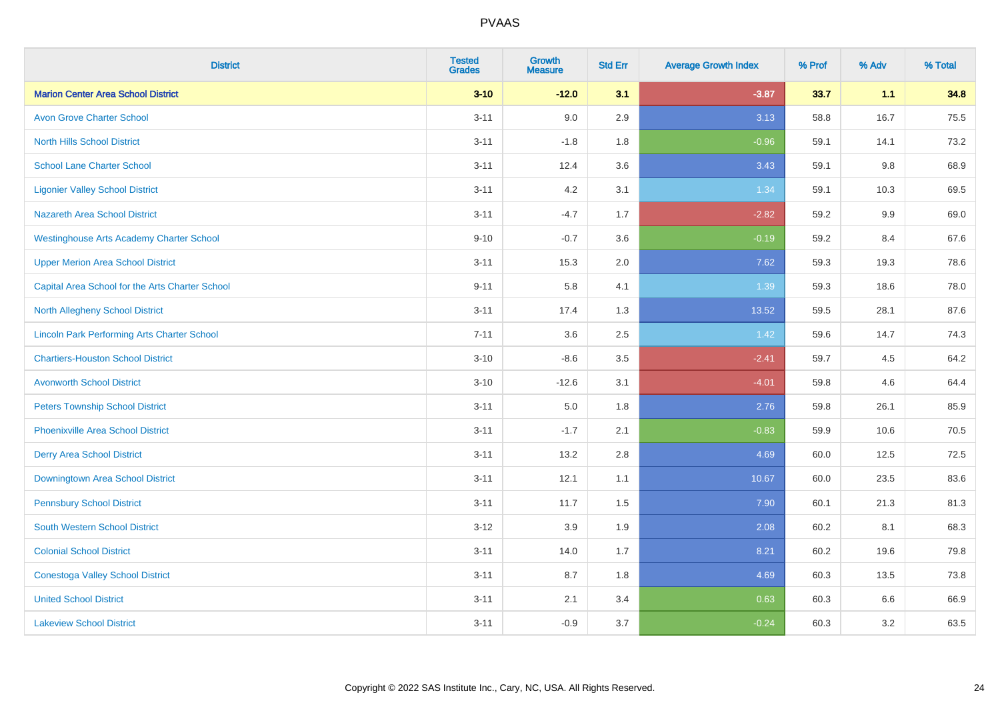| <b>District</b>                                    | <b>Tested</b><br><b>Grades</b> | <b>Growth</b><br><b>Measure</b> | <b>Std Err</b> | <b>Average Growth Index</b> | % Prof | % Adv   | % Total |
|----------------------------------------------------|--------------------------------|---------------------------------|----------------|-----------------------------|--------|---------|---------|
| <b>Marion Center Area School District</b>          | $3 - 10$                       | $-12.0$                         | 3.1            | $-3.87$                     | 33.7   | 1.1     | 34.8    |
| <b>Avon Grove Charter School</b>                   | $3 - 11$                       | 9.0                             | 2.9            | 3.13                        | 58.8   | 16.7    | 75.5    |
| <b>North Hills School District</b>                 | $3 - 11$                       | $-1.8$                          | 1.8            | $-0.96$                     | 59.1   | 14.1    | 73.2    |
| <b>School Lane Charter School</b>                  | $3 - 11$                       | 12.4                            | 3.6            | 3.43                        | 59.1   | $9.8\,$ | 68.9    |
| <b>Ligonier Valley School District</b>             | $3 - 11$                       | 4.2                             | 3.1            | 1.34                        | 59.1   | 10.3    | 69.5    |
| <b>Nazareth Area School District</b>               | $3 - 11$                       | $-4.7$                          | 1.7            | $-2.82$                     | 59.2   | 9.9     | 69.0    |
| <b>Westinghouse Arts Academy Charter School</b>    | $9 - 10$                       | $-0.7$                          | 3.6            | $-0.19$                     | 59.2   | 8.4     | 67.6    |
| <b>Upper Merion Area School District</b>           | $3 - 11$                       | 15.3                            | 2.0            | 7.62                        | 59.3   | 19.3    | 78.6    |
| Capital Area School for the Arts Charter School    | $9 - 11$                       | 5.8                             | 4.1            | 1.39                        | 59.3   | 18.6    | 78.0    |
| North Allegheny School District                    | $3 - 11$                       | 17.4                            | 1.3            | 13.52                       | 59.5   | 28.1    | 87.6    |
| <b>Lincoln Park Performing Arts Charter School</b> | $7 - 11$                       | 3.6                             | 2.5            | 1.42                        | 59.6   | 14.7    | 74.3    |
| <b>Chartiers-Houston School District</b>           | $3 - 10$                       | $-8.6$                          | 3.5            | $-2.41$                     | 59.7   | 4.5     | 64.2    |
| <b>Avonworth School District</b>                   | $3 - 10$                       | $-12.6$                         | 3.1            | $-4.01$                     | 59.8   | 4.6     | 64.4    |
| <b>Peters Township School District</b>             | $3 - 11$                       | 5.0                             | 1.8            | 2.76                        | 59.8   | 26.1    | 85.9    |
| <b>Phoenixville Area School District</b>           | $3 - 11$                       | $-1.7$                          | 2.1            | $-0.83$                     | 59.9   | 10.6    | 70.5    |
| <b>Derry Area School District</b>                  | $3 - 11$                       | 13.2                            | 2.8            | 4.69                        | 60.0   | 12.5    | 72.5    |
| Downingtown Area School District                   | $3 - 11$                       | 12.1                            | 1.1            | 10.67                       | 60.0   | 23.5    | 83.6    |
| <b>Pennsbury School District</b>                   | $3 - 11$                       | 11.7                            | 1.5            | 7.90                        | 60.1   | 21.3    | 81.3    |
| <b>South Western School District</b>               | $3 - 12$                       | 3.9                             | 1.9            | 2.08                        | 60.2   | 8.1     | 68.3    |
| <b>Colonial School District</b>                    | $3 - 11$                       | 14.0                            | 1.7            | 8.21                        | 60.2   | 19.6    | 79.8    |
| <b>Conestoga Valley School District</b>            | $3 - 11$                       | 8.7                             | 1.8            | 4.69                        | 60.3   | 13.5    | 73.8    |
| <b>United School District</b>                      | $3 - 11$                       | 2.1                             | 3.4            | 0.63                        | 60.3   | 6.6     | 66.9    |
| <b>Lakeview School District</b>                    | $3 - 11$                       | $-0.9$                          | 3.7            | $-0.24$                     | 60.3   | 3.2     | 63.5    |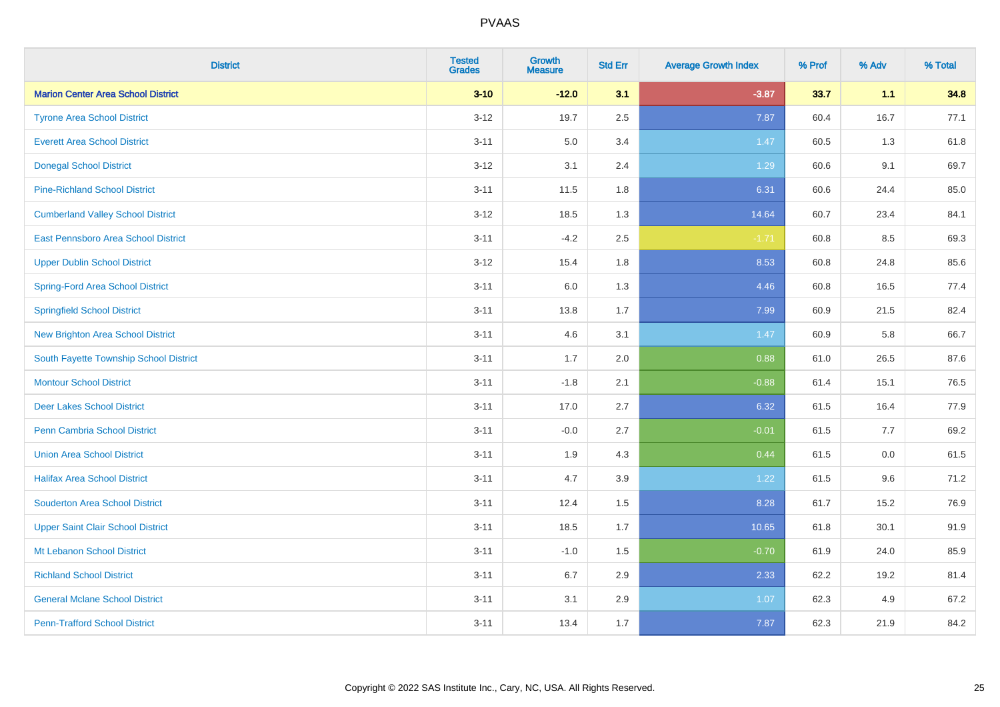| <b>District</b>                           | <b>Tested</b><br><b>Grades</b> | <b>Growth</b><br><b>Measure</b> | <b>Std Err</b> | <b>Average Growth Index</b> | % Prof | % Adv   | % Total |
|-------------------------------------------|--------------------------------|---------------------------------|----------------|-----------------------------|--------|---------|---------|
| <b>Marion Center Area School District</b> | $3 - 10$                       | $-12.0$                         | 3.1            | $-3.87$                     | 33.7   | 1.1     | 34.8    |
| <b>Tyrone Area School District</b>        | $3 - 12$                       | 19.7                            | 2.5            | 7.87                        | 60.4   | 16.7    | 77.1    |
| <b>Everett Area School District</b>       | $3 - 11$                       | 5.0                             | 3.4            | 1.47                        | 60.5   | 1.3     | 61.8    |
| <b>Donegal School District</b>            | $3 - 12$                       | 3.1                             | 2.4            | 1.29                        | 60.6   | 9.1     | 69.7    |
| <b>Pine-Richland School District</b>      | $3 - 11$                       | 11.5                            | 1.8            | 6.31                        | 60.6   | 24.4    | 85.0    |
| <b>Cumberland Valley School District</b>  | $3 - 12$                       | 18.5                            | 1.3            | 14.64                       | 60.7   | 23.4    | 84.1    |
| East Pennsboro Area School District       | $3 - 11$                       | $-4.2$                          | 2.5            | $-1.71$                     | 60.8   | 8.5     | 69.3    |
| <b>Upper Dublin School District</b>       | $3 - 12$                       | 15.4                            | 1.8            | 8.53                        | 60.8   | 24.8    | 85.6    |
| Spring-Ford Area School District          | $3 - 11$                       | 6.0                             | 1.3            | 4.46                        | 60.8   | 16.5    | 77.4    |
| <b>Springfield School District</b>        | $3 - 11$                       | 13.8                            | 1.7            | 7.99                        | 60.9   | 21.5    | 82.4    |
| <b>New Brighton Area School District</b>  | $3 - 11$                       | 4.6                             | 3.1            | 1.47                        | 60.9   | 5.8     | 66.7    |
| South Fayette Township School District    | $3 - 11$                       | 1.7                             | 2.0            | 0.88                        | 61.0   | 26.5    | 87.6    |
| <b>Montour School District</b>            | $3 - 11$                       | $-1.8$                          | 2.1            | $-0.88$                     | 61.4   | 15.1    | 76.5    |
| <b>Deer Lakes School District</b>         | $3 - 11$                       | 17.0                            | 2.7            | 6.32                        | 61.5   | 16.4    | 77.9    |
| Penn Cambria School District              | $3 - 11$                       | $-0.0$                          | 2.7            | $-0.01$                     | 61.5   | 7.7     | 69.2    |
| <b>Union Area School District</b>         | $3 - 11$                       | 1.9                             | 4.3            | 0.44                        | 61.5   | $0.0\,$ | 61.5    |
| <b>Halifax Area School District</b>       | $3 - 11$                       | 4.7                             | 3.9            | 1.22                        | 61.5   | 9.6     | 71.2    |
| <b>Souderton Area School District</b>     | $3 - 11$                       | 12.4                            | 1.5            | 8.28                        | 61.7   | 15.2    | 76.9    |
| <b>Upper Saint Clair School District</b>  | $3 - 11$                       | 18.5                            | 1.7            | 10.65                       | 61.8   | 30.1    | 91.9    |
| Mt Lebanon School District                | $3 - 11$                       | $-1.0$                          | 1.5            | $-0.70$                     | 61.9   | 24.0    | 85.9    |
| <b>Richland School District</b>           | $3 - 11$                       | 6.7                             | 2.9            | 2.33                        | 62.2   | 19.2    | 81.4    |
| <b>General Mclane School District</b>     | $3 - 11$                       | 3.1                             | 2.9            | 1.07                        | 62.3   | 4.9     | 67.2    |
| <b>Penn-Trafford School District</b>      | $3 - 11$                       | 13.4                            | 1.7            | 7.87                        | 62.3   | 21.9    | 84.2    |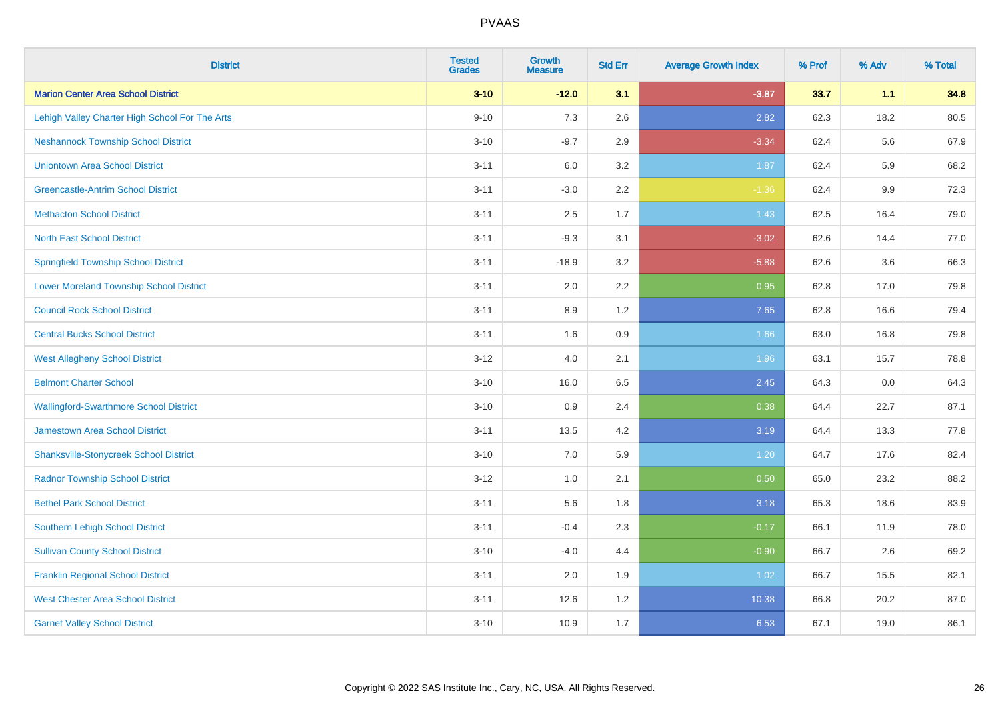| <b>District</b>                                | <b>Tested</b><br><b>Grades</b> | <b>Growth</b><br><b>Measure</b> | <b>Std Err</b> | <b>Average Growth Index</b> | % Prof | % Adv | % Total |
|------------------------------------------------|--------------------------------|---------------------------------|----------------|-----------------------------|--------|-------|---------|
| <b>Marion Center Area School District</b>      | $3 - 10$                       | $-12.0$                         | 3.1            | $-3.87$                     | 33.7   | 1.1   | 34.8    |
| Lehigh Valley Charter High School For The Arts | $9 - 10$                       | 7.3                             | 2.6            | 2.82                        | 62.3   | 18.2  | 80.5    |
| <b>Neshannock Township School District</b>     | $3 - 10$                       | $-9.7$                          | 2.9            | $-3.34$                     | 62.4   | 5.6   | 67.9    |
| <b>Uniontown Area School District</b>          | $3 - 11$                       | 6.0                             | 3.2            | 1.87                        | 62.4   | 5.9   | 68.2    |
| <b>Greencastle-Antrim School District</b>      | $3 - 11$                       | $-3.0$                          | 2.2            | $-1.36$                     | 62.4   | 9.9   | 72.3    |
| <b>Methacton School District</b>               | $3 - 11$                       | 2.5                             | 1.7            | 1.43                        | 62.5   | 16.4  | 79.0    |
| <b>North East School District</b>              | $3 - 11$                       | $-9.3$                          | 3.1            | $-3.02$                     | 62.6   | 14.4  | 77.0    |
| <b>Springfield Township School District</b>    | $3 - 11$                       | $-18.9$                         | 3.2            | $-5.88$                     | 62.6   | 3.6   | 66.3    |
| <b>Lower Moreland Township School District</b> | $3 - 11$                       | 2.0                             | 2.2            | 0.95                        | 62.8   | 17.0  | 79.8    |
| <b>Council Rock School District</b>            | $3 - 11$                       | 8.9                             | 1.2            | 7.65                        | 62.8   | 16.6  | 79.4    |
| <b>Central Bucks School District</b>           | $3 - 11$                       | 1.6                             | 0.9            | 1.66                        | 63.0   | 16.8  | 79.8    |
| <b>West Allegheny School District</b>          | $3 - 12$                       | 4.0                             | 2.1            | 1.96                        | 63.1   | 15.7  | 78.8    |
| <b>Belmont Charter School</b>                  | $3 - 10$                       | 16.0                            | 6.5            | 2.45                        | 64.3   | 0.0   | 64.3    |
| <b>Wallingford-Swarthmore School District</b>  | $3 - 10$                       | 0.9                             | 2.4            | 0.38                        | 64.4   | 22.7  | 87.1    |
| <b>Jamestown Area School District</b>          | $3 - 11$                       | 13.5                            | 4.2            | 3.19                        | 64.4   | 13.3  | 77.8    |
| <b>Shanksville-Stonycreek School District</b>  | $3 - 10$                       | 7.0                             | 5.9            | 1.20                        | 64.7   | 17.6  | 82.4    |
| <b>Radnor Township School District</b>         | $3 - 12$                       | 1.0                             | 2.1            | 0.50                        | 65.0   | 23.2  | 88.2    |
| <b>Bethel Park School District</b>             | $3 - 11$                       | 5.6                             | 1.8            | 3.18                        | 65.3   | 18.6  | 83.9    |
| <b>Southern Lehigh School District</b>         | $3 - 11$                       | $-0.4$                          | 2.3            | $-0.17$                     | 66.1   | 11.9  | 78.0    |
| <b>Sullivan County School District</b>         | $3 - 10$                       | $-4.0$                          | 4.4            | $-0.90$                     | 66.7   | 2.6   | 69.2    |
| <b>Franklin Regional School District</b>       | $3 - 11$                       | 2.0                             | 1.9            | 1.02                        | 66.7   | 15.5  | 82.1    |
| <b>West Chester Area School District</b>       | $3 - 11$                       | 12.6                            | 1.2            | 10.38                       | 66.8   | 20.2  | 87.0    |
| <b>Garnet Valley School District</b>           | $3 - 10$                       | 10.9                            | 1.7            | 6.53                        | 67.1   | 19.0  | 86.1    |